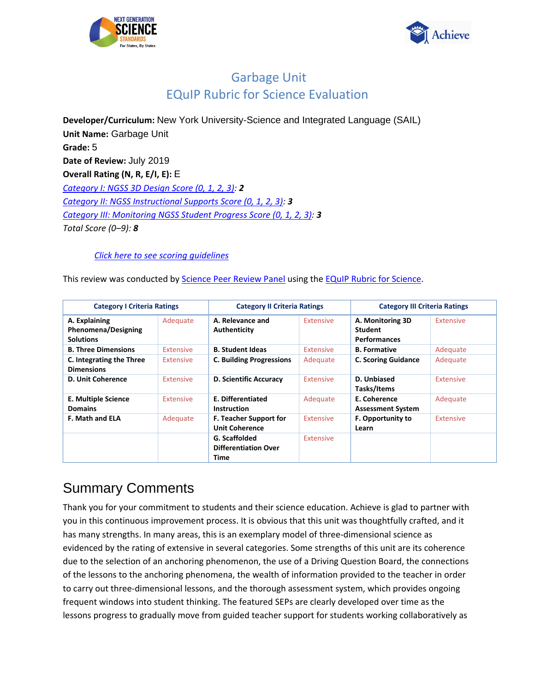



**Developer/Curriculum:** New York University-Science and Integrated Language (SAIL) **Unit Name:** Garbage Unit **Grade:** 5 **Date of Review:** July 2019 **Overall Rating (N, R, E/I, E):** E *[Category I: NGSS 3D Design Score \(0, 1, 2, 3\):](#page-1-0) 2 [Category II: NGSS Instructional Supports Score \(0, 1, 2, 3\):](#page-18-0) 3 [Category III: Monitoring NGSS Student Progress Score \(0, 1, 2, 3\):](#page-32-0) 3 Total Score (0–9): 8*

#### *[Click here to see scoring guidelines](#page-39-0)*

This review was conducted by [Science Peer Review Panel](https://nextgenscience.org/peer-review-panel/peer-review-panel-science) using th[e EQuIP Rubric for Science.](https://nextgenscience.org/sites/default/files/EQuIPRubricforSciencev3.pdf)

| <b>Category I Criteria Ratings</b>                              |                  | <b>Category II Criteria Ratings</b>                    |                  | <b>Category III Criteria Ratings</b>                      |                  |
|-----------------------------------------------------------------|------------------|--------------------------------------------------------|------------------|-----------------------------------------------------------|------------------|
| A. Explaining<br><b>Phenomena/Designing</b><br><b>Solutions</b> | Adequate         | A. Relevance and<br>Authenticity                       | Extensive        | A. Monitoring 3D<br><b>Student</b><br><b>Performances</b> | <b>Extensive</b> |
| <b>B. Three Dimensions</b>                                      | Extensive        | <b>B. Student Ideas</b>                                | Extensive        | <b>B.</b> Formative                                       | Adequate         |
| C. Integrating the Three<br><b>Dimensions</b>                   | Extensive        | <b>C. Building Progressions</b>                        | Adequate         | <b>C. Scoring Guidance</b>                                | Adequate         |
| <b>D. Unit Coherence</b>                                        | Extensive        | D. Scientific Accuracy                                 | Extensive        | D. Unbiased<br>Tasks/Items                                | <b>Extensive</b> |
| <b>E. Multiple Science</b><br><b>Domains</b>                    | <b>Extensive</b> | <b>E. Differentiated</b><br><b>Instruction</b>         | Adequate         | E. Coherence<br><b>Assessment System</b>                  | Adequate         |
| <b>F. Math and ELA</b>                                          | Adequate         | <b>F. Teacher Support for</b><br><b>Unit Coherence</b> | Extensive        | <b>F. Opportunity to</b><br>Learn                         | Extensive        |
|                                                                 |                  | G. Scaffolded<br><b>Differentiation Over</b><br>Time   | <b>Extensive</b> |                                                           |                  |

# Summary Comments

Thank you for your commitment to students and their science education. Achieve is glad to partner with you in this continuous improvement process. It is obvious that this unit was thoughtfully crafted, and it has many strengths. In many areas, this is an exemplary model of three-dimensional science as evidenced by the rating of extensive in several categories. Some strengths of this unit are its coherence due to the selection of an anchoring phenomenon, the use of a Driving Question Board, the connections of the lessons to the anchoring phenomena, the wealth of information provided to the teacher in order to carry out three-dimensional lessons, and the thorough assessment system, which provides ongoing frequent windows into student thinking. The featured SEPs are clearly developed over time as the lessons progress to gradually move from guided teacher support for students working collaboratively as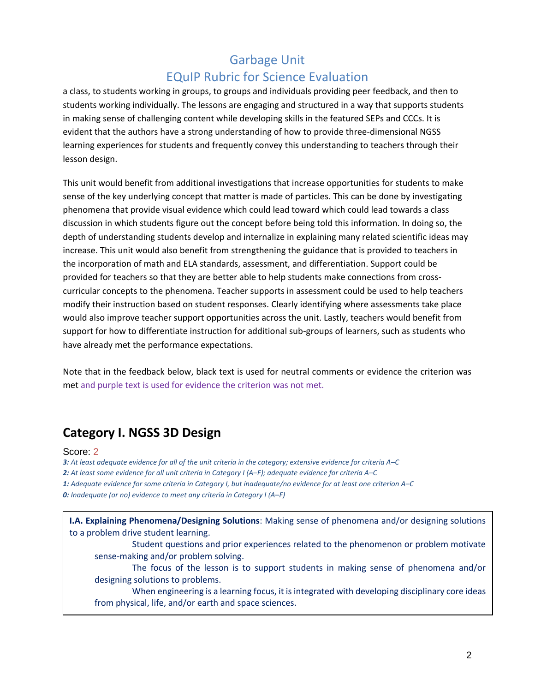a class, to students working in groups, to groups and individuals providing peer feedback, and then to students working individually. The lessons are engaging and structured in a way that supports students in making sense of challenging content while developing skills in the featured SEPs and CCCs. It is evident that the authors have a strong understanding of how to provide three-dimensional NGSS learning experiences for students and frequently convey this understanding to teachers through their lesson design.

This unit would benefit from additional investigations that increase opportunities for students to make sense of the key underlying concept that matter is made of particles. This can be done by investigating phenomena that provide visual evidence which could lead toward which could lead towards a class discussion in which students figure out the concept before being told this information. In doing so, the depth of understanding students develop and internalize in explaining many related scientific ideas may increase. This unit would also benefit from strengthening the guidance that is provided to teachers in the incorporation of math and ELA standards, assessment, and differentiation. Support could be provided for teachers so that they are better able to help students make connections from crosscurricular concepts to the phenomena. Teacher supports in assessment could be used to help teachers modify their instruction based on student responses. Clearly identifying where assessments take place would also improve teacher support opportunities across the unit. Lastly, teachers would benefit from support for how to differentiate instruction for additional sub-groups of learners, such as students who have already met the performance expectations.

<span id="page-1-0"></span>Note that in the feedback below, black text is used for neutral comments or evidence the criterion was met and purple text is used for evidence the criterion was not met.

# **Category I. NGSS 3D Design**

#### Score: 2

*3: At least adequate evidence for all of the unit criteria in the category; extensive evidence for criteria A–C 2: At least some evidence for all unit criteria in Category I (A–F); adequate evidence for criteria A–C 1: Adequate evidence for some criteria in Category I, but inadequate/no evidence for at least one criterion A–C 0: Inadequate (or no) evidence to meet any criteria in Category I (A–F)*

**I.A. Explaining Phenomena/Designing Solutions**: Making sense of phenomena and/or designing solutions to a problem drive student learning. Student questions and prior experiences related to the phenomenon or problem motivate sense-making and/or problem solving. The focus of the lesson is to support students in making sense of phenomena and/or designing solutions to problems. When engineering is a learning focus, it is integrated with developing disciplinary core ideas from physical, life, and/or earth and space sciences.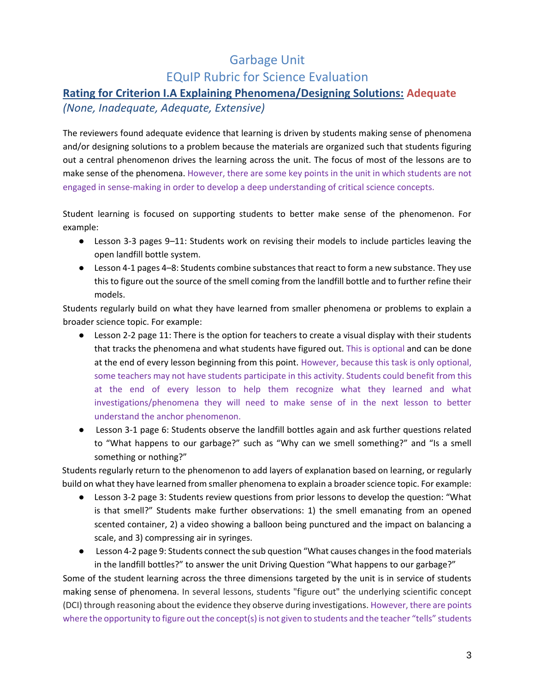#### **Rating for Criterion I.A Explaining Phenomena/Designing Solutions: Adequate**

#### *(None, Inadequate, Adequate, Extensive)*

The reviewers found adequate evidence that learning is driven by students making sense of phenomena and/or designing solutions to a problem because the materials are organized such that students figuring out a central phenomenon drives the learning across the unit. The focus of most of the lessons are to make sense of the phenomena. However, there are some key points in the unit in which students are not engaged in sense-making in order to develop a deep understanding of critical science concepts.

Student learning is focused on supporting students to better make sense of the phenomenon. For example:

- Lesson 3-3 pages 9*–*11: Students work on revising their models to include particles leaving the open landfill bottle system.
- Lesson 4-1 pages 4–8: Students combine substances that react to form a new substance. They use this to figure out the source of the smell coming from the landfill bottle and to further refine their models.

Students regularly build on what they have learned from smaller phenomena or problems to explain a broader science topic. For example:

- Lesson 2-2 page 11: There is the option for teachers to create a visual display with their students that tracks the phenomena and what students have figured out. This is optional and can be done at the end of every lesson beginning from this point. However, because this task is only optional, some teachers may not have students participate in this activity. Students could benefit from this at the end of every lesson to help them recognize what they learned and what investigations/phenomena they will need to make sense of in the next lesson to better understand the anchor phenomenon.
- Lesson 3-1 page 6: Students observe the landfill bottles again and ask further questions related to "What happens to our garbage?" such as "Why can we smell something?" and "Is a smell something or nothing?"

Students regularly return to the phenomenon to add layers of explanation based on learning, or regularly build on what they have learned from smaller phenomena to explain a broader science topic. For example:

- Lesson 3-2 page 3: Students review questions from prior lessons to develop the question: "What is that smell?" Students make further observations: 1) the smell emanating from an opened scented container, 2) a video showing a balloon being punctured and the impact on balancing a scale, and 3) compressing air in syringes.
- Lesson 4-2 page 9: Students connect the sub question "What causes changes in the food materials in the landfill bottles?" to answer the unit Driving Question "What happens to our garbage?"

Some of the student learning across the three dimensions targeted by the unit is in service of students making sense of phenomena. In several lessons, students "figure out" the underlying scientific concept (DCI) through reasoning about the evidence they observe during investigations. However, there are points where the opportunity to figure out the concept(s) is not given to students and the teacher "tells" students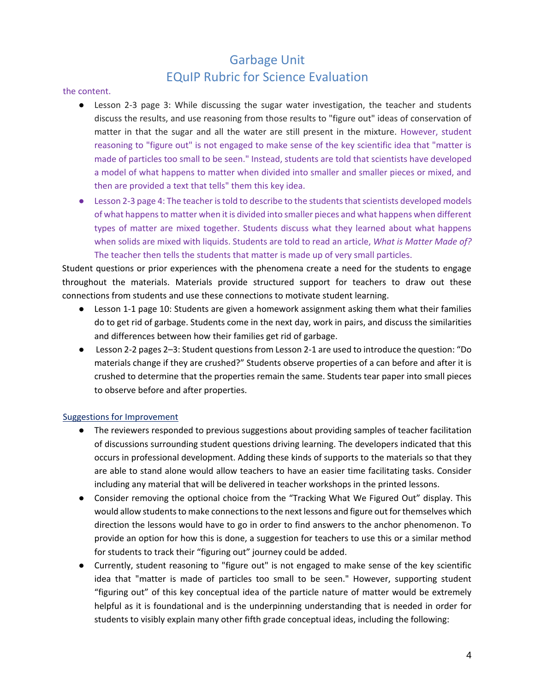#### the content.

- Lesson 2-3 page 3: While discussing the sugar water investigation, the teacher and students discuss the results, and use reasoning from those results to "figure out" ideas of conservation of matter in that the sugar and all the water are still present in the mixture. However, student reasoning to "figure out" is not engaged to make sense of the key scientific idea that "matter is made of particles too small to be seen." Instead, students are told that scientists have developed a model of what happens to matter when divided into smaller and smaller pieces or mixed, and then are provided a text that tells" them this key idea.
- Lesson 2-3 page 4: The teacher is told to describe to the students that scientists developed models of what happens to matter when it is divided into smaller pieces and what happens when different types of matter are mixed together. Students discuss what they learned about what happens when solids are mixed with liquids. Students are told to read an article, *What is Matter Made of?* The teacher then tells the students that matter is made up of very small particles.

Student questions or prior experiences with the phenomena create a need for the students to engage throughout the materials. Materials provide structured support for teachers to draw out these connections from students and use these connections to motivate student learning.

- Lesson 1-1 page 10: Students are given a homework assignment asking them what their families do to get rid of garbage. Students come in the next day, work in pairs, and discuss the similarities and differences between how their families get rid of garbage.
- Lesson 2-2 pages 2–3: Student questions from Lesson 2-1 are used to introduce the question: "Do materials change if they are crushed?" Students observe properties of a can before and after it is crushed to determine that the properties remain the same. Students tear paper into small pieces to observe before and after properties.

#### Suggestions for Improvement

- The reviewers responded to previous suggestions about providing samples of teacher facilitation of discussions surrounding student questions driving learning. The developers indicated that this occurs in professional development. Adding these kinds of supports to the materials so that they are able to stand alone would allow teachers to have an easier time facilitating tasks. Consider including any material that will be delivered in teacher workshops in the printed lessons.
- Consider removing the optional choice from the "Tracking What We Figured Out" display. This would allow students to make connections to the next lessons and figure out for themselves which direction the lessons would have to go in order to find answers to the anchor phenomenon. To provide an option for how this is done, a suggestion for teachers to use this or a similar method for students to track their "figuring out" journey could be added.
- Currently, student reasoning to "figure out" is not engaged to make sense of the key scientific idea that "matter is made of particles too small to be seen." However, supporting student "figuring out" of this key conceptual idea of the particle nature of matter would be extremely helpful as it is foundational and is the underpinning understanding that is needed in order for students to visibly explain many other fifth grade conceptual ideas, including the following: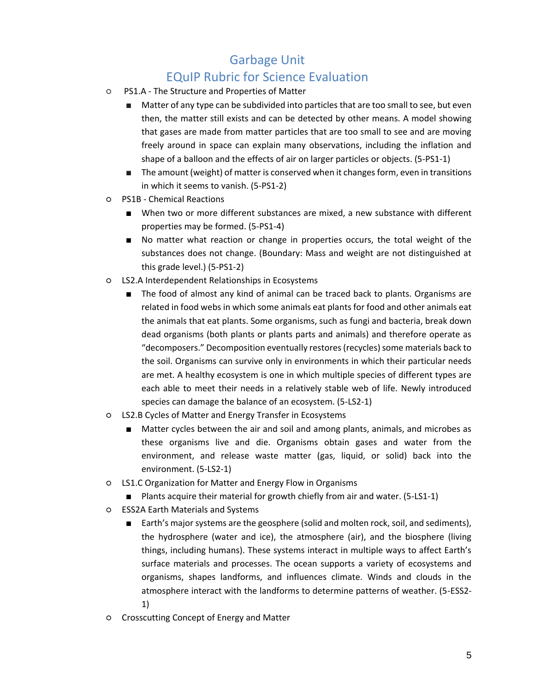## EQuIP Rubric for Science Evaluation

- PS1.A The Structure and Properties of Matter
	- Matter of any type can be subdivided into particles that are too small to see, but even then, the matter still exists and can be detected by other means. A model showing that gases are made from matter particles that are too small to see and are moving freely around in space can explain many observations, including the inflation and shape of a balloon and the effects of air on larger particles or objects. (5-PS1-1)
	- The amount (weight) of matter is conserved when it changes form, even in transitions in which it seems to vanish. (5-PS1-2)
- PS1B Chemical Reactions
	- When two or more different substances are mixed, a new substance with different properties may be formed. (5-PS1-4)
	- No matter what reaction or change in properties occurs, the total weight of the substances does not change. (Boundary: Mass and weight are not distinguished at this grade level.) (5-PS1-2)
- LS2.A Interdependent Relationships in Ecosystems
	- The food of almost any kind of animal can be traced back to plants. Organisms are related in food webs in which some animals eat plants for food and other animals eat the animals that eat plants. Some organisms, such as fungi and bacteria, break down dead organisms (both plants or plants parts and animals) and therefore operate as "decomposers." Decomposition eventually restores (recycles) some materials back to the soil. Organisms can survive only in environments in which their particular needs are met. A healthy ecosystem is one in which multiple species of different types are each able to meet their needs in a relatively stable web of life. Newly introduced species can damage the balance of an ecosystem. (5-LS2-1)
- LS2.B Cycles of Matter and Energy Transfer in Ecosystems
	- Matter cycles between the air and soil and among plants, animals, and microbes as these organisms live and die. Organisms obtain gases and water from the environment, and release waste matter (gas, liquid, or solid) back into the environment. (5-LS2-1)
- LS1.C Organization for Matter and Energy Flow in Organisms
	- Plants acquire their material for growth chiefly from air and water. (5-LS1-1)
- ESS2A Earth Materials and Systems
	- Earth's major systems are the geosphere (solid and molten rock, soil, and sediments), the hydrosphere (water and ice), the atmosphere (air), and the biosphere (living things, including humans). These systems interact in multiple ways to affect Earth's surface materials and processes. The ocean supports a variety of ecosystems and organisms, shapes landforms, and influences climate. Winds and clouds in the atmosphere interact with the landforms to determine patterns of weather. (5-ESS2- 1)
- Crosscutting Concept of Energy and Matter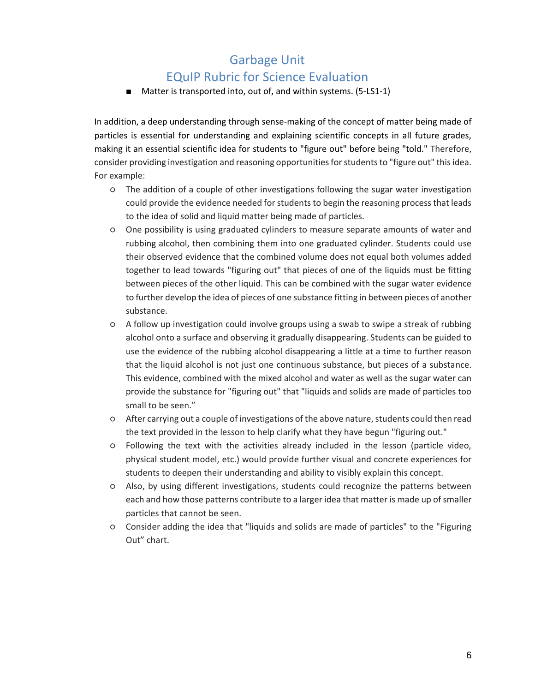■ Matter is transported into, out of, and within systems. (5-LS1-1)

In addition, a deep understanding through sense-making of the concept of matter being made of particles is essential for understanding and explaining scientific concepts in all future grades, making it an essential scientific idea for students to "figure out" before being "told." Therefore, consider providing investigation and reasoning opportunities for students to "figure out" this idea. For example:

- The addition of a couple of other investigations following the sugar water investigation could provide the evidence needed for students to begin the reasoning process that leads to the idea of solid and liquid matter being made of particles.
- One possibility is using graduated cylinders to measure separate amounts of water and rubbing alcohol, then combining them into one graduated cylinder. Students could use their observed evidence that the combined volume does not equal both volumes added together to lead towards "figuring out" that pieces of one of the liquids must be fitting between pieces of the other liquid. This can be combined with the sugar water evidence to further develop the idea of pieces of one substance fitting in between pieces of another substance.
- A follow up investigation could involve groups using a swab to swipe a streak of rubbing alcohol onto a surface and observing it gradually disappearing. Students can be guided to use the evidence of the rubbing alcohol disappearing a little at a time to further reason that the liquid alcohol is not just one continuous substance, but pieces of a substance. This evidence, combined with the mixed alcohol and water as well as the sugar water can provide the substance for "figuring out" that "liquids and solids are made of particles too small to be seen."
- After carrying out a couple of investigations of the above nature, students could then read the text provided in the lesson to help clarify what they have begun "figuring out."
- Following the text with the activities already included in the lesson (particle video, physical student model, etc.) would provide further visual and concrete experiences for students to deepen their understanding and ability to visibly explain this concept.
- Also, by using different investigations, students could recognize the patterns between each and how those patterns contribute to a larger idea that matter is made up of smaller particles that cannot be seen.
- Consider adding the idea that "liquids and solids are made of particles" to the "Figuring Out" chart.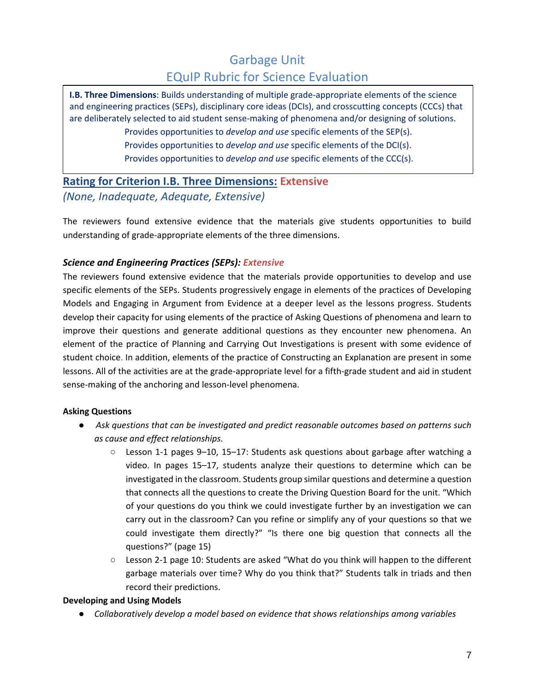**I.B. Three Dimensions**: Builds understanding of multiple grade-appropriate elements of the science and engineering practices (SEPs), disciplinary core ideas (DCIs), and crosscutting concepts (CCCs) that are deliberately selected to aid student sense-making of phenomena and/or designing of solutions.

> Provides opportunities to *develop and use* specific elements of the SEP(s). Provides opportunities to *develop and use* specific elements of the DCI(s). Provides opportunities to *develop and use* specific elements of the CCC(s).

### **Rating for Criterion I.B. Three Dimensions: Extensive** *(None, Inadequate, Adequate, Extensive)*

The reviewers found extensive evidence that the materials give students opportunities to build understanding of grade-appropriate elements of the three dimensions.

#### *Science and Engineering Practices (SEPs): Extensive*

The reviewers found extensive evidence that the materials provide opportunities to develop and use specific elements of the SEPs. Students progressively engage in elements of the practices of Developing Models and Engaging in Argument from Evidence at a deeper level as the lessons progress. Students develop their capacity for using elements of the practice of Asking Questions of phenomena and learn to improve their questions and generate additional questions as they encounter new phenomena. An element of the practice of Planning and Carrying Out Investigations is present with some evidence of student choice. In addition, elements of the practice of Constructing an Explanation are present in some lessons. All of the activities are at the grade-appropriate level for a fifth-grade student and aid in student sense-making of the anchoring and lesson-level phenomena.

#### **Asking Questions**

- *Ask questions that can be investigated and predict reasonable outcomes based on patterns such as cause and effect relationships.*
	- $\circ$  Lesson 1-1 pages 9–10, 15–17: Students ask questions about garbage after watching a video. In pages 15–17, students analyze their questions to determine which can be investigated in the classroom. Students group similar questions and determine a question that connects all the questions to create the Driving Question Board for the unit. "Which of your questions do you think we could investigate further by an investigation we can carry out in the classroom? Can you refine or simplify any of your questions so that we could investigate them directly?" "Is there one big question that connects all the questions?" (page 15)
	- Lesson 2-1 page 10: Students are asked "What do you think will happen to the different garbage materials over time? Why do you think that?" Students talk in triads and then record their predictions.

#### **Developing and Using Models**

● *Collaboratively develop a model based on evidence that shows relationships among variables*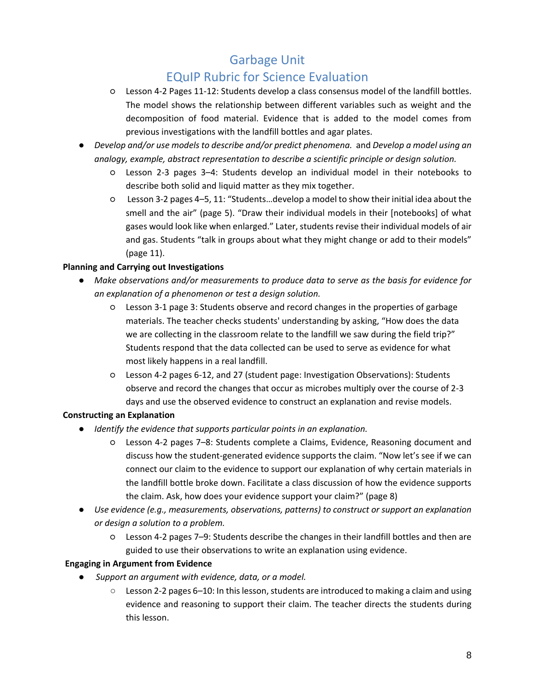# EQuIP Rubric for Science Evaluation

- Lesson 4-2 Pages 11-12: Students develop a class consensus model of the landfill bottles. The model shows the relationship between different variables such as weight and the decomposition of food material. Evidence that is added to the model comes from previous investigations with the landfill bottles and agar plates.
- *Develop and/or use models to describe and/or predict phenomena.* and *Develop a model using an analogy, example, abstract representation to describe a scientific principle or design solution.*
	- Lesson 2-3 pages 3–4: Students develop an individual model in their notebooks to describe both solid and liquid matter as they mix together.
	- Lesson 3-2 pages 4–5, 11: "Students…develop a model to show their initial idea about the smell and the air" (page 5). "Draw their individual models in their [notebooks] of what gases would look like when enlarged." Later, students revise their individual models of air and gas. Students "talk in groups about what they might change or add to their models" (page 11).

#### **Planning and Carrying out Investigations**

- *Make observations and/or measurements to produce data to serve as the basis for evidence for an explanation of a phenomenon or test a design solution.*
	- Lesson 3-1 page 3: Students observe and record changes in the properties of garbage materials. The teacher checks students' understanding by asking, "How does the data we are collecting in the classroom relate to the landfill we saw during the field trip?" Students respond that the data collected can be used to serve as evidence for what most likely happens in a real landfill.
	- Lesson 4-2 pages 6-12, and 27 (student page: Investigation Observations): Students observe and record the changes that occur as microbes multiply over the course of 2-3 days and use the observed evidence to construct an explanation and revise models.

#### **Constructing an Explanation**

- *Identify the evidence that supports particular points in an explanation.*
	- Lesson 4-2 pages 7–8: Students complete a Claims, Evidence, Reasoning document and discuss how the student-generated evidence supports the claim. "Now let's see if we can connect our claim to the evidence to support our explanation of why certain materials in the landfill bottle broke down. Facilitate a class discussion of how the evidence supports the claim. Ask, how does your evidence support your claim?" (page 8)
- *Use evidence (e.g., measurements, observations, patterns) to construct or support an explanation or design a solution to a problem.*
	- Lesson 4-2 pages 7–9: Students describe the changes in their landfill bottles and then are guided to use their observations to write an explanation using evidence.

#### **Engaging in Argument from Evidence**

- *Support an argument with evidence, data, or a model.*
	- Lesson 2-2 pages 6*–*10: In this lesson, students are introduced to making a claim and using evidence and reasoning to support their claim. The teacher directs the students during this lesson.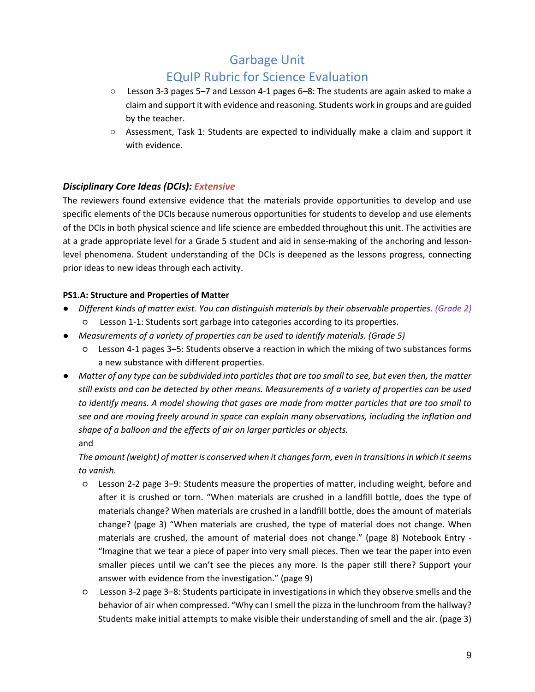- Lesson 3-3 pages 5–7 and Lesson 4-1 pages 6*–*8: The students are again asked to make a claim and support it with evidence and reasoning. Students work in groups and are guided by the teacher.
- Assessment, Task 1: Students are expected to individually make a claim and support it with evidence.

#### *Disciplinary Core Ideas (DCIs): Extensive*

The reviewers found extensive evidence that the materials provide opportunities to develop and use specific elements of the DCIs because numerous opportunities for students to develop and use elements of the DCIs in both physical science and life science are embedded throughout this unit. The activities are at a grade appropriate level for a Grade 5 student and aid in sense-making of the anchoring and lessonlevel phenomena. Student understanding of the DCIs is deepened as the lessons progress, connecting prior ideas to new ideas through each activity.

#### **PS1.A: Structure and Properties of Matter**

- *Different kinds of matter exist. You can distinguish materials by their observable properties. (Grade 2)* ○ Lesson 1-1: Students sort garbage into categories according to its properties.
- *Measurements of a variety of properties can be used to identify materials. (Grade 5)*
	- Lesson 4-1 pages 3–5: Students observe a reaction in which the mixing of two substances forms a new substance with different properties.
- *Matter of any type can be subdivided into particles that are too small to see, but even then, the matter still exists and can be detected by other means. Measurements of a variety of properties can be used to identify means. A model showing that gases are made from matter particles that are too small to see and are moving freely around in space can explain many observations, including the inflation and shape of a balloon and the effects of air on larger particles or objects.*  and

*The amount (weight) of matter is conserved when it changes form, even in transitions in which it seems to vanish.*

- Lesson 2-2 page 3–9: Students measure the properties of matter, including weight, before and after it is crushed or torn. "When materials are crushed in a landfill bottle, does the type of materials change? When materials are crushed in a landfill bottle, does the amount of materials change? (page 3) "When materials are crushed, the type of material does not change. When materials are crushed, the amount of material does not change." (page 8) Notebook Entry - "Imagine that we tear a piece of paper into very small pieces. Then we tear the paper into even smaller pieces until we can't see the pieces any more. Is the paper still there? Support your answer with evidence from the investigation." (page 9)
- Lesson 3-2 page 3–8: Students participate in investigations in which they observe smells and the behavior of air when compressed. "Why can I smell the pizza in the lunchroom from the hallway? Students make initial attempts to make visible their understanding of smell and the air. (page 3)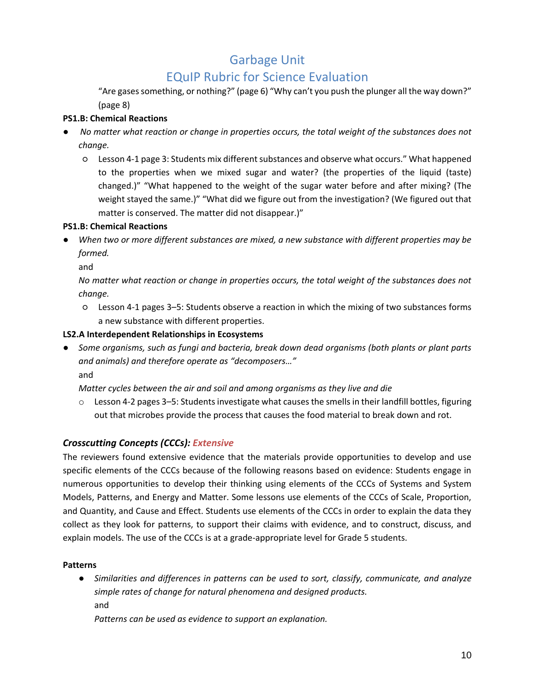# EQuIP Rubric for Science Evaluation

"Are gases something, or nothing?" (page 6) "Why can't you push the plunger all the way down?" (page 8)

#### **PS1.B: Chemical Reactions**

- *No matter what reaction or change in properties occurs, the total weight of the substances does not change.*
	- Lesson 4-1 page 3: Students mix different substances and observe what occurs." What happened to the properties when we mixed sugar and water? (the properties of the liquid (taste) changed.)" "What happened to the weight of the sugar water before and after mixing? (The weight stayed the same.)" "What did we figure out from the investigation? (We figured out that matter is conserved. The matter did not disappear.)"

#### **PS1.B: Chemical Reactions**

When two or more different substances are mixed, a new substance with different properties may be *formed.* 

and

*No matter what reaction or change in properties occurs, the total weight of the substances does not change.*

○ Lesson 4-1 pages 3–5: Students observe a reaction in which the mixing of two substances forms a new substance with different properties.

#### **LS2.A Interdependent Relationships in Ecosystems**

● *Some organisms, such as fungi and bacteria, break down dead organisms (both plants or plant parts and animals) and therefore operate as "decomposers…"* and

*Matter cycles between the air and soil and among organisms as they live and die*

 $\circ$  Lesson 4-2 pages 3–5: Students investigate what causes the smells in their landfill bottles, figuring out that microbes provide the process that causes the food material to break down and rot.

#### *Crosscutting Concepts (CCCs): Extensive*

The reviewers found extensive evidence that the materials provide opportunities to develop and use specific elements of the CCCs because of the following reasons based on evidence: Students engage in numerous opportunities to develop their thinking using elements of the CCCs of Systems and System Models, Patterns, and Energy and Matter. Some lessons use elements of the CCCs of Scale, Proportion, and Quantity, and Cause and Effect. Students use elements of the CCCs in order to explain the data they collect as they look for patterns, to support their claims with evidence, and to construct, discuss, and explain models. The use of the CCCs is at a grade-appropriate level for Grade 5 students.

#### **Patterns**

● *Similarities and differences in patterns can be used to sort, classify, communicate, and analyze simple rates of change for natural phenomena and designed products.* and

*Patterns can be used as evidence to support an explanation.*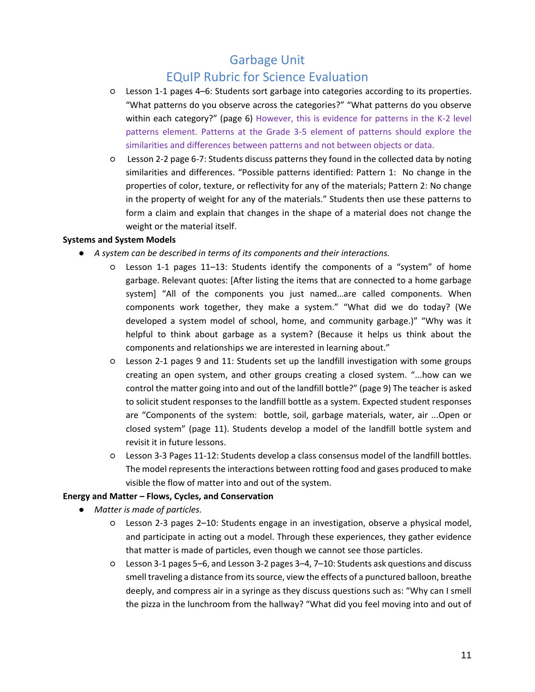## EQuIP Rubric for Science Evaluation

- Lesson 1-1 pages 4–6: Students sort garbage into categories according to its properties. "What patterns do you observe across the categories?" "What patterns do you observe within each category?" (page 6) However, this is evidence for patterns in the K-2 level patterns element. Patterns at the Grade 3-5 element of patterns should explore the similarities and differences between patterns and not between objects or data.
- Lesson 2-2 page 6-7: Students discuss patterns they found in the collected data by noting similarities and differences. "Possible patterns identified: Pattern 1: No change in the properties of color, texture, or reflectivity for any of the materials; Pattern 2: No change in the property of weight for any of the materials." Students then use these patterns to form a claim and explain that changes in the shape of a material does not change the weight or the material itself.

#### **Systems and System Models**

- *A system can be described in terms of its components and their interactions.*
	- Lesson 1-1 pages 11–13: Students identify the components of a "system" of home garbage. Relevant quotes: [After listing the items that are connected to a home garbage system] "All of the components you just named…are called components. When components work together, they make a system." "What did we do today? (We developed a system model of school, home, and community garbage.)" "Why was it helpful to think about garbage as a system? (Because it helps us think about the components and relationships we are interested in learning about."
	- Lesson 2-1 pages 9 and 11: Students set up the landfill investigation with some groups creating an open system, and other groups creating a closed system. "...how can we control the matter going into and out of the landfill bottle?" (page 9) The teacher is asked to solicit student responses to the landfill bottle as a system. Expected student responses are "Components of the system: bottle, soil, garbage materials, water, air ...Open or closed system" (page 11). Students develop a model of the landfill bottle system and revisit it in future lessons.
	- Lesson 3-3 Pages 11-12: Students develop a class consensus model of the landfill bottles. The model represents the interactions between rotting food and gases produced to make visible the flow of matter into and out of the system.

#### **Energy and Matter – Flows, Cycles, and Conservation**

- *Matter is made of particles.*
	- Lesson 2-3 pages 2–10: Students engage in an investigation, observe a physical model, and participate in acting out a model. Through these experiences, they gather evidence that matter is made of particles, even though we cannot see those particles.
	- Lesson 3-1 pages 5–6, and Lesson 3-2 pages 3–4, 7–10: Students ask questions and discuss smell traveling a distance from its source, view the effects of a punctured balloon, breathe deeply, and compress air in a syringe as they discuss questions such as: "Why can I smell the pizza in the lunchroom from the hallway? "What did you feel moving into and out of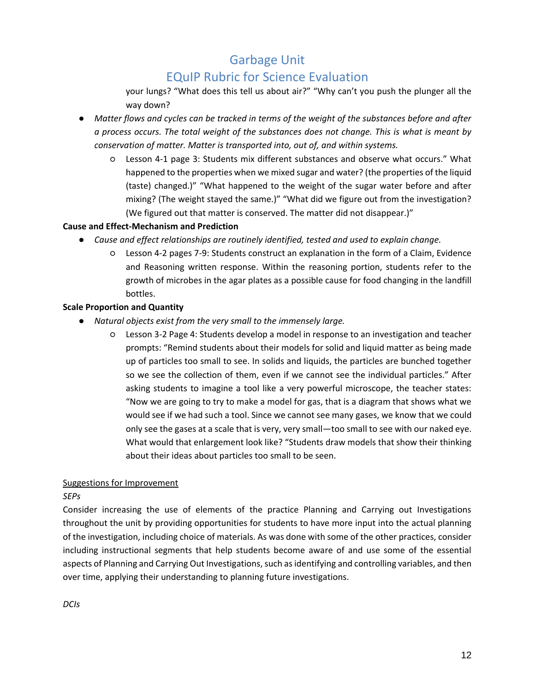## EQuIP Rubric for Science Evaluation

your lungs? "What does this tell us about air?" "Why can't you push the plunger all the way down?

- *Matter flows and cycles can be tracked in terms of the weight of the substances before and after a process occurs. The total weight of the substances does not change. This is what is meant by conservation of matter. Matter is transported into, out of, and within systems.*
	- Lesson 4-1 page 3: Students mix different substances and observe what occurs." What happened to the properties when we mixed sugar and water? (the properties of the liquid (taste) changed.)" "What happened to the weight of the sugar water before and after mixing? (The weight stayed the same.)" "What did we figure out from the investigation? (We figured out that matter is conserved. The matter did not disappear.)"

#### **Cause and Effect-Mechanism and Prediction**

- *Cause and effect relationships are routinely identified, tested and used to explain change.*
	- Lesson 4-2 pages 7-9: Students construct an explanation in the form of a Claim, Evidence and Reasoning written response. Within the reasoning portion, students refer to the growth of microbes in the agar plates as a possible cause for food changing in the landfill bottles.

#### **Scale Proportion and Quantity**

- *Natural objects exist from the very small to the immensely large.* 
	- Lesson 3-2 Page 4: Students develop a model in response to an investigation and teacher prompts: "Remind students about their models for solid and liquid matter as being made up of particles too small to see. In solids and liquids, the particles are bunched together so we see the collection of them, even if we cannot see the individual particles." After asking students to imagine a tool like a very powerful microscope, the teacher states: "Now we are going to try to make a model for gas, that is a diagram that shows what we would see if we had such a tool. Since we cannot see many gases, we know that we could only see the gases at a scale that is very, very small—too small to see with our naked eye. What would that enlargement look like? "Students draw models that show their thinking about their ideas about particles too small to be seen.

#### Suggestions for Improvement

#### *SEPs*

Consider increasing the use of elements of the practice Planning and Carrying out Investigations throughout the unit by providing opportunities for students to have more input into the actual planning of the investigation, including choice of materials. As was done with some of the other practices, consider including instructional segments that help students become aware of and use some of the essential aspects of Planning and Carrying Out Investigations, such as identifying and controlling variables, and then over time, applying their understanding to planning future investigations.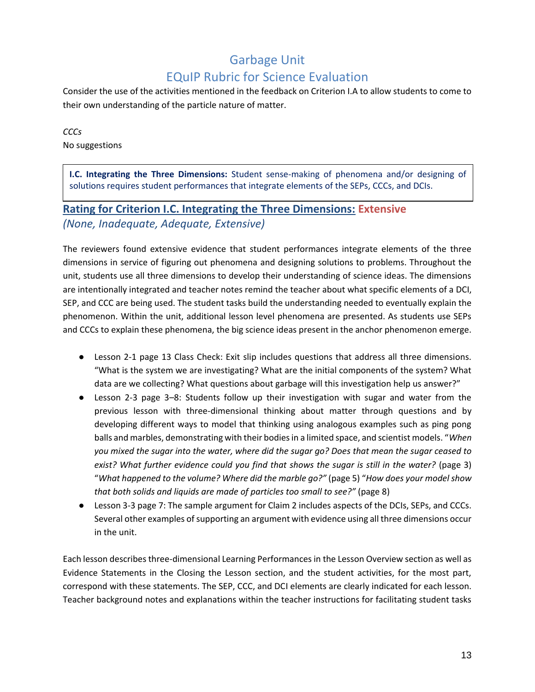Consider the use of the activities mentioned in the feedback on Criterion I.A to allow students to come to their own understanding of the particle nature of matter.

*CCCs* No suggestions

**I.C. Integrating the Three Dimensions:** Student sense-making of phenomena and/or designing of solutions requires student performances that integrate elements of the SEPs, CCCs, and DCIs.

# **Rating for Criterion I.C. Integrating the Three Dimensions: Extensive** *(None, Inadequate, Adequate, Extensive)*

The reviewers found extensive evidence that student performances integrate elements of the three dimensions in service of figuring out phenomena and designing solutions to problems. Throughout the unit, students use all three dimensions to develop their understanding of science ideas. The dimensions are intentionally integrated and teacher notes remind the teacher about what specific elements of a DCI, SEP, and CCC are being used. The student tasks build the understanding needed to eventually explain the phenomenon. Within the unit, additional lesson level phenomena are presented. As students use SEPs and CCCs to explain these phenomena, the big science ideas present in the anchor phenomenon emerge.

- Lesson 2-1 page 13 Class Check: Exit slip includes questions that address all three dimensions. "What is the system we are investigating? What are the initial components of the system? What data are we collecting? What questions about garbage will this investigation help us answer?"
- Lesson 2-3 page 3*–*8: Students follow up their investigation with sugar and water from the previous lesson with three-dimensional thinking about matter through questions and by developing different ways to model that thinking using analogous examples such as ping pong balls and marbles, demonstrating with their bodies in a limited space, and scientist models. "*When you mixed the sugar into the water, where did the sugar go? Does that mean the sugar ceased to exist? What further evidence could you find that shows the sugar is still in the water?* (page 3) "*What happened to the volume? Where did the marble go?"* (page 5) "*How does your model show that both solids and liquids are made of particles too small to see?"* (page 8)
- Lesson 3-3 page 7: The sample argument for Claim 2 includes aspects of the DCIs, SEPs, and CCCs. Several other examples of supporting an argument with evidence using all three dimensions occur in the unit.

Each lesson describes three-dimensional Learning Performances in the Lesson Overview section as well as Evidence Statements in the Closing the Lesson section, and the student activities, for the most part, correspond with these statements. The SEP, CCC, and DCI elements are clearly indicated for each lesson. Teacher background notes and explanations within the teacher instructions for facilitating student tasks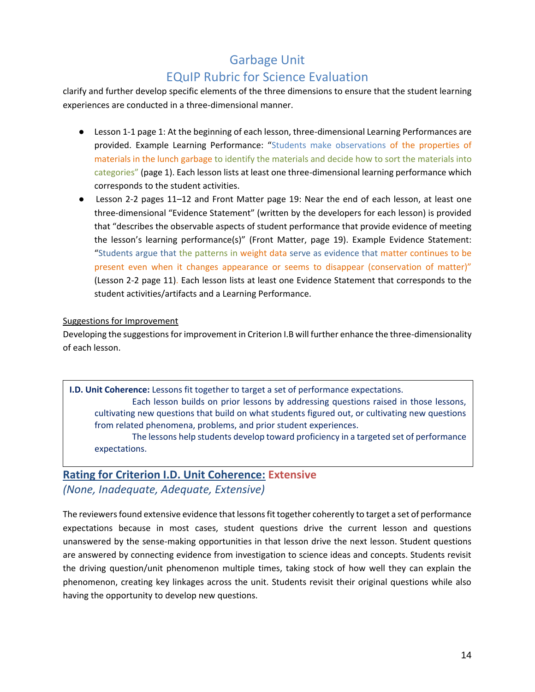clarify and further develop specific elements of the three dimensions to ensure that the student learning experiences are conducted in a three-dimensional manner.

- Lesson 1-1 page 1: At the beginning of each lesson, three-dimensional Learning Performances are provided. Example Learning Performance: "Students make observations of the properties of materials in the lunch garbage to identify the materials and decide how to sort the materials into categories" (page 1). Each lesson lists at least one three-dimensional learning performance which corresponds to the student activities.
- Lesson 2-2 pages 11*–*12 and Front Matter page 19: Near the end of each lesson, at least one three-dimensional "Evidence Statement" (written by the developers for each lesson) is provided that "describes the observable aspects of student performance that provide evidence of meeting the lesson's learning performance(s)" (Front Matter, page 19). Example Evidence Statement: "Students argue that the patterns in weight data serve as evidence that matter continues to be present even when it changes appearance or seems to disappear (conservation of matter)" (Lesson 2-2 page 11). Each lesson lists at least one Evidence Statement that corresponds to the student activities/artifacts and a Learning Performance.

#### Suggestions for Improvement

Developing the suggestions for improvement in Criterion I.B will further enhance the three-dimensionality of each lesson.

**I.D. Unit Coherence:** Lessons fit together to target a set of performance expectations. Each lesson builds on prior lessons by addressing questions raised in those lessons, cultivating new questions that build on what students figured out, or cultivating new questions from related phenomena, problems, and prior student experiences. The lessons help students develop toward proficiency in a targeted set of performance

expectations.

### **Rating for Criterion I.D. Unit Coherence: Extensive** *(None, Inadequate, Adequate, Extensive)*

The reviewers found extensive evidence that lessons fit together coherently to target a set of performance expectations because in most cases, student questions drive the current lesson and questions unanswered by the sense-making opportunities in that lesson drive the next lesson. Student questions are answered by connecting evidence from investigation to science ideas and concepts. Students revisit the driving question/unit phenomenon multiple times, taking stock of how well they can explain the phenomenon, creating key linkages across the unit. Students revisit their original questions while also having the opportunity to develop new questions.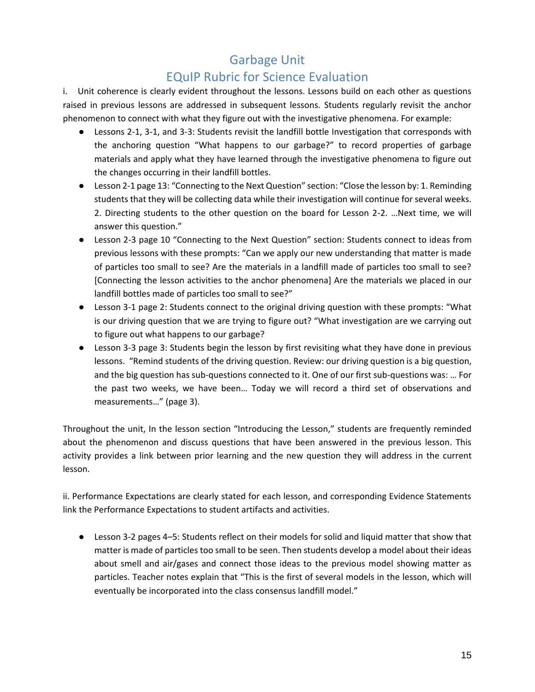## EQuIP Rubric for Science Evaluation

i. Unit coherence is clearly evident throughout the lessons. Lessons build on each other as questions raised in previous lessons are addressed in subsequent lessons. Students regularly revisit the anchor phenomenon to connect with what they figure out with the investigative phenomena. For example:

- Lessons 2-1, 3-1, and 3-3: Students revisit the landfill bottle Investigation that corresponds with the anchoring question "What happens to our garbage?" to record properties of garbage materials and apply what they have learned through the investigative phenomena to figure out the changes occurring in their landfill bottles.
- Lesson 2-1 page 13: "Connecting to the Next Question" section: "Close the lesson by: 1. Reminding students that they will be collecting data while their investigation will continue for several weeks. 2. Directing students to the other question on the board for Lesson 2-2. …Next time, we will answer this question."
- Lesson 2-3 page 10 "Connecting to the Next Question" section: Students connect to ideas from previous lessons with these prompts: "Can we apply our new understanding that matter is made of particles too small to see? Are the materials in a landfill made of particles too small to see? [Connecting the lesson activities to the anchor phenomena] Are the materials we placed in our landfill bottles made of particles too small to see?"
- Lesson 3-1 page 2: Students connect to the original driving question with these prompts: "What is our driving question that we are trying to figure out? "What investigation are we carrying out to figure out what happens to our garbage?
- Lesson 3-3 page 3: Students begin the lesson by first revisiting what they have done in previous lessons. "Remind students of the driving question. Review: our driving question is a big question, and the big question has sub-questions connected to it. One of our first sub-questions was: … For the past two weeks, we have been… Today we will record a third set of observations and measurements…" (page 3).

Throughout the unit, In the lesson section "Introducing the Lesson," students are frequently reminded about the phenomenon and discuss questions that have been answered in the previous lesson. This activity provides a link between prior learning and the new question they will address in the current lesson.

ii. Performance Expectations are clearly stated for each lesson, and corresponding Evidence Statements link the Performance Expectations to student artifacts and activities.

● Lesson 3-2 pages 4*–*5: Students reflect on their models for solid and liquid matter that show that matter is made of particles too small to be seen. Then students develop a model about their ideas about smell and air/gases and connect those ideas to the previous model showing matter as particles. Teacher notes explain that "This is the first of several models in the lesson, which will eventually be incorporated into the class consensus landfill model."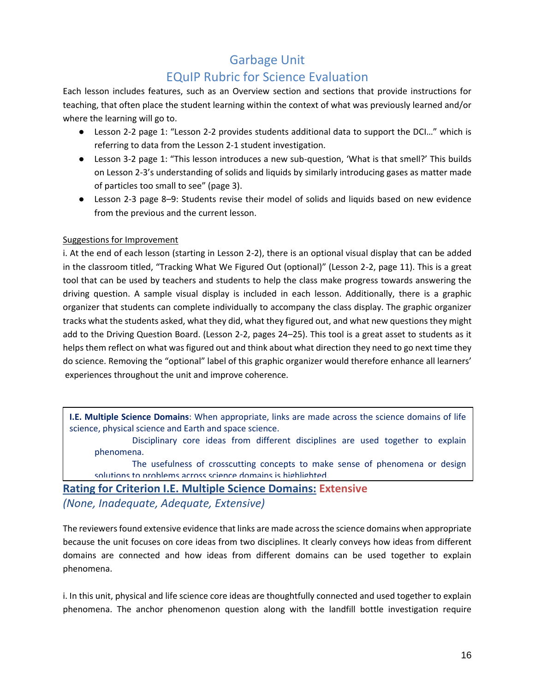# EQuIP Rubric for Science Evaluation

Each lesson includes features, such as an Overview section and sections that provide instructions for teaching, that often place the student learning within the context of what was previously learned and/or where the learning will go to.

- Lesson 2-2 page 1: "Lesson 2-2 provides students additional data to support the DCI..." which is referring to data from the Lesson 2-1 student investigation.
- Lesson 3-2 page 1: "This lesson introduces a new sub-question, 'What is that smell?' This builds on Lesson 2-3's understanding of solids and liquids by similarly introducing gases as matter made of particles too small to see" (page 3).
- Lesson 2-3 page 8–9: Students revise their model of solids and liquids based on new evidence from the previous and the current lesson.

#### Suggestions for Improvement

i. At the end of each lesson (starting in Lesson 2-2), there is an optional visual display that can be added in the classroom titled, "Tracking What We Figured Out (optional)" (Lesson 2-2, page 11). This is a great tool that can be used by teachers and students to help the class make progress towards answering the driving question. A sample visual display is included in each lesson. Additionally, there is a graphic organizer that students can complete individually to accompany the class display. The graphic organizer tracks what the students asked, what they did, what they figured out, and what new questions they might add to the Driving Question Board. (Lesson 2-2, pages 24*–*25). This tool is a great asset to students as it helps them reflect on what was figured out and think about what direction they need to go next time they do science. Removing the "optional" label of this graphic organizer would therefore enhance all learners' experiences throughout the unit and improve coherence.

**I.E. Multiple Science Domains**: When appropriate, links are made across the science domains of life science, physical science and Earth and space science.

Disciplinary core ideas from different disciplines are used together to explain phenomena.

The usefulness of crosscutting concepts to make sense of phenomena or design solutions to problems across science domains is highlighted.

**Rating for Criterion I.E. Multiple Science Domains: Extensive** *(None, Inadequate, Adequate, Extensive)*

The reviewers found extensive evidence that links are made across the science domains when appropriate because the unit focuses on core ideas from two disciplines. It clearly conveys how ideas from different domains are connected and how ideas from different domains can be used together to explain phenomena.

i. In this unit, physical and life science core ideas are thoughtfully connected and used together to explain phenomena. The anchor phenomenon question along with the landfill bottle investigation require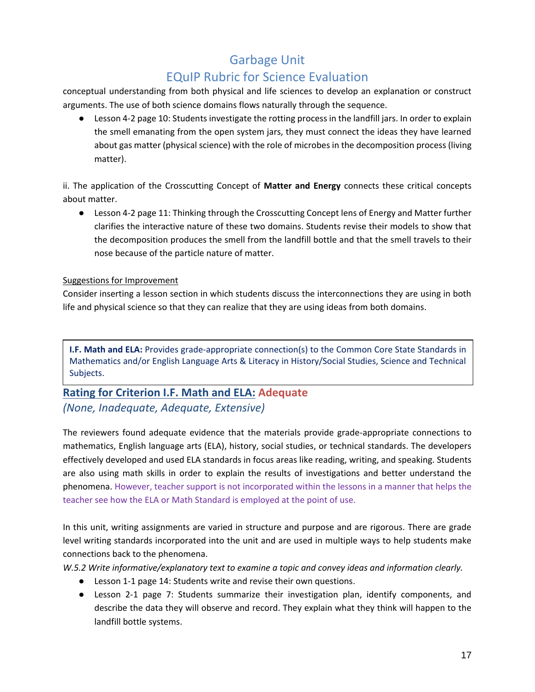## EQuIP Rubric for Science Evaluation

conceptual understanding from both physical and life sciences to develop an explanation or construct arguments. The use of both science domains flows naturally through the sequence.

● Lesson 4-2 page 10: Students investigate the rotting process in the landfill jars. In order to explain the smell emanating from the open system jars, they must connect the ideas they have learned about gas matter (physical science) with the role of microbes in the decomposition process (living matter).

ii. The application of the Crosscutting Concept of **Matter and Energy** connects these critical concepts about matter.

● Lesson 4-2 page 11: Thinking through the Crosscutting Concept lens of Energy and Matter further clarifies the interactive nature of these two domains. Students revise their models to show that the decomposition produces the smell from the landfill bottle and that the smell travels to their nose because of the particle nature of matter.

#### Suggestions for Improvement

Consider inserting a lesson section in which students discuss the interconnections they are using in both life and physical science so that they can realize that they are using ideas from both domains.

**I.F. Math and ELA:** Provides grade-appropriate connection(s) to the Common Core State Standards in Mathematics and/or English Language Arts & Literacy in History/Social Studies, Science and Technical Subjects.

### **Rating for Criterion I.F. Math and ELA: Adequate** *(None, Inadequate, Adequate, Extensive)*

The reviewers found adequate evidence that the materials provide grade-appropriate connections to mathematics, English language arts (ELA), history, social studies, or technical standards. The developers effectively developed and used ELA standards in focus areas like reading, writing, and speaking. Students are also using math skills in order to explain the results of investigations and better understand the phenomena. However, teacher support is not incorporated within the lessons in a manner that helps the teacher see how the ELA or Math Standard is employed at the point of use.

In this unit, writing assignments are varied in structure and purpose and are rigorous. There are grade level writing standards incorporated into the unit and are used in multiple ways to help students make connections back to the phenomena.

*W.5.2 Write informative/explanatory text to examine a topic and convey ideas and information clearly.*

- Lesson 1-1 page 14: Students write and revise their own questions.
- Lesson 2-1 page 7: Students summarize their investigation plan, identify components, and describe the data they will observe and record. They explain what they think will happen to the landfill bottle systems.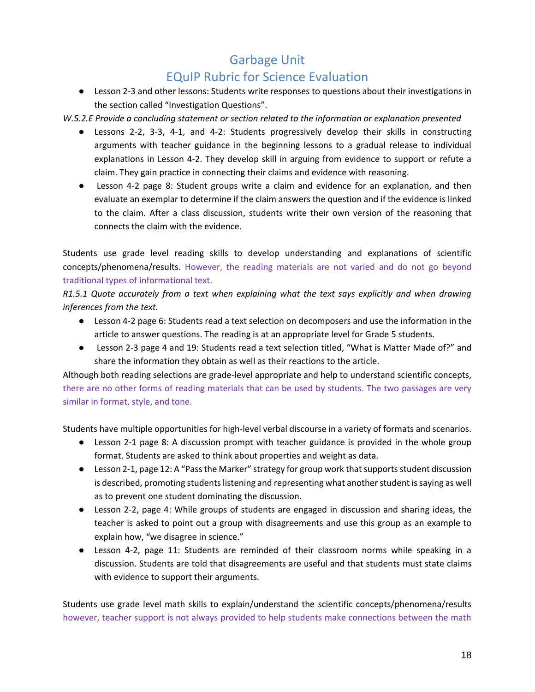### EQuIP Rubric for Science Evaluation

● Lesson 2-3 and other lessons: Students write responses to questions about their investigations in the section called "Investigation Questions".

*W.5.2.E Provide a concluding statement or section related to the information or explanation presented*

- Lessons 2-2, 3-3, 4-1, and 4-2: Students progressively develop their skills in constructing arguments with teacher guidance in the beginning lessons to a gradual release to individual explanations in Lesson 4-2. They develop skill in arguing from evidence to support or refute a claim. They gain practice in connecting their claims and evidence with reasoning.
- Lesson 4-2 page 8: Student groups write a claim and evidence for an explanation, and then evaluate an exemplar to determine if the claim answers the question and if the evidence is linked to the claim. After a class discussion, students write their own version of the reasoning that connects the claim with the evidence.

Students use grade level reading skills to develop understanding and explanations of scientific concepts/phenomena/results. However, the reading materials are not varied and do not go beyond traditional types of informational text.

*R1.5.1 Quote accurately from a text when explaining what the text says explicitly and when drawing inferences from the text.*

- Lesson 4-2 page 6: Students read a text selection on decomposers and use the information in the article to answer questions. The reading is at an appropriate level for Grade 5 students.
- Lesson 2-3 page 4 and 19: Students read a text selection titled, "What is Matter Made of?" and share the information they obtain as well as their reactions to the article.

Although both reading selections are grade-level appropriate and help to understand scientific concepts, there are no other forms of reading materials that can be used by students. The two passages are very similar in format, style, and tone.

Students have multiple opportunities for high-level verbal discourse in a variety of formats and scenarios.

- Lesson 2-1 page 8: A discussion prompt with teacher guidance is provided in the whole group format. Students are asked to think about properties and weight as data.
- Lesson 2-1, page 12: A "Pass the Marker" strategy for group work that supports student discussion is described, promoting students listening and representing what another student is saying as well as to prevent one student dominating the discussion.
- Lesson 2-2, page 4: While groups of students are engaged in discussion and sharing ideas, the teacher is asked to point out a group with disagreements and use this group as an example to explain how, "we disagree in science."
- Lesson 4-2, page 11: Students are reminded of their classroom norms while speaking in a discussion. Students are told that disagreements are useful and that students must state claims with evidence to support their arguments.

Students use grade level math skills to explain/understand the scientific concepts/phenomena/results however, teacher support is not always provided to help students make connections between the math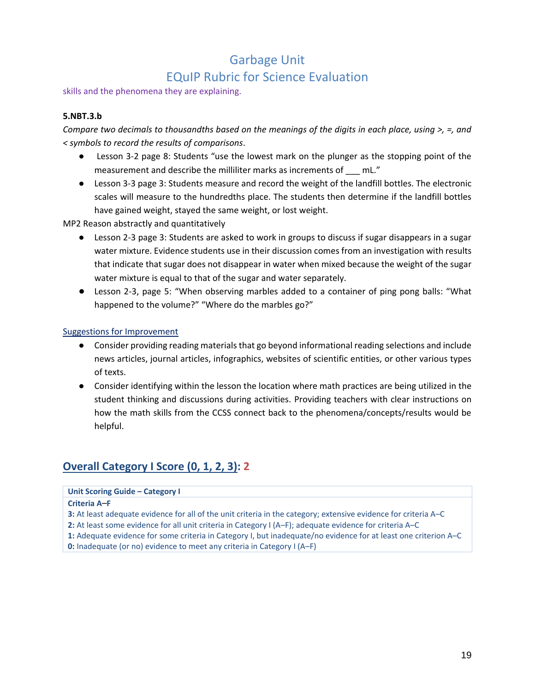#### skills and the phenomena they are explaining.

#### **5.NBT.3.b**

*Compare two decimals to thousandths based on the meanings of the digits in each place, using >, =, and < symbols to record the results of comparisons*.

- Lesson 3-2 page 8: Students "use the lowest mark on the plunger as the stopping point of the measurement and describe the milliliter marks as increments of mL."
- Lesson 3-3 page 3: Students measure and record the weight of the landfill bottles. The electronic scales will measure to the hundredths place. The students then determine if the landfill bottles have gained weight, stayed the same weight, or lost weight.

MP2 Reason abstractly and quantitatively

- Lesson 2-3 page 3: Students are asked to work in groups to discuss if sugar disappears in a sugar water mixture. Evidence students use in their discussion comes from an investigation with results that indicate that sugar does not disappear in water when mixed because the weight of the sugar water mixture is equal to that of the sugar and water separately.
- Lesson 2-3, page 5: "When observing marbles added to a container of ping pong balls: "What happened to the volume?" "Where do the marbles go?"

#### Suggestions for Improvement

- Consider providing reading materials that go beyond informational reading selections and include news articles, journal articles, infographics, websites of scientific entities, or other various types of texts.
- Consider identifying within the lesson the location where math practices are being utilized in the student thinking and discussions during activities. Providing teachers with clear instructions on how the math skills from the CCSS connect back to the phenomena/concepts/results would be helpful.

### **Overall Category I Score (0, 1, 2, 3): 2**

#### **Unit Scoring Guide – Category I**

#### **Criteria A***–***F**

- **3:** At least adequate evidence for all of the unit criteria in the category; extensive evidence for criteria A–C
- **2:** At least some evidence for all unit criteria in Category I (A–F); adequate evidence for criteria A–C
- <span id="page-18-0"></span>**1:** Adequate evidence for some criteria in Category I, but inadequate/no evidence for at least one criterion A–C **0:** Inadequate (or no) evidence to meet any criteria in Category I (A–F)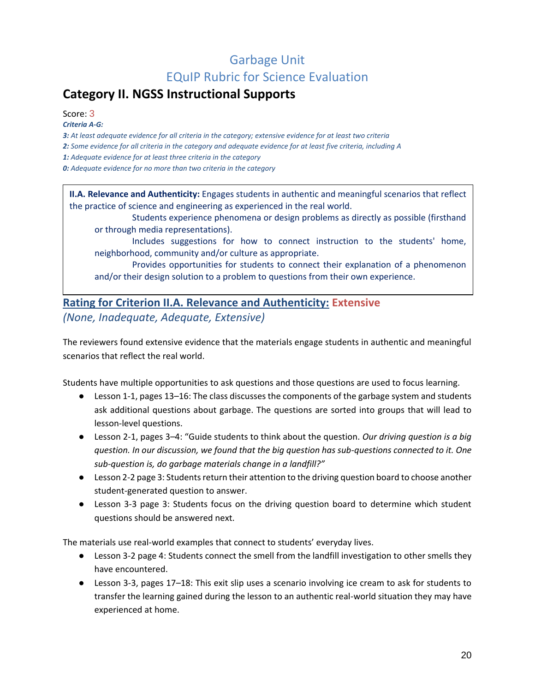# **Category II. NGSS Instructional Supports**

Score: 3

*Criteria A‐G:*

*3: At least adequate evidence for all criteria in the category; extensive evidence for at least two criteria*

*2: Some evidence for all criteria in the category and adequate evidence for at least five criteria, including A*

*1: Adequate evidence for at least three criteria in the category*

*0: Adequate evidence for no more than two criteria in the category*

**II.A. Relevance and Authenticity:** Engages students in authentic and meaningful scenarios that reflect the practice of science and engineering as experienced in the real world.

Students experience phenomena or design problems as directly as possible (firsthand or through media representations).

Includes suggestions for how to connect instruction to the students' home, neighborhood, community and/or culture as appropriate.

Provides opportunities for students to connect their explanation of a phenomenon and/or their design solution to a problem to questions from their own experience.

### **Rating for Criterion II.A. Relevance and Authenticity: Extensive** *(None, Inadequate, Adequate, Extensive)*

The reviewers found extensive evidence that the materials engage students in authentic and meaningful scenarios that reflect the real world.

Students have multiple opportunities to ask questions and those questions are used to focus learning.

- Lesson 1-1, pages 13*–*16: The class discusses the components of the garbage system and students ask additional questions about garbage. The questions are sorted into groups that will lead to lesson-level questions.
- Lesson 2-1, pages 3*–*4: "Guide students to think about the question. *Our driving question is a big question. In our discussion, we found that the big question has sub-questions connected to it. One sub-question is, do garbage materials change in a landfill?"*
- Lesson 2-2 page 3: Students return their attention to the driving question board to choose another student-generated question to answer.
- Lesson 3-3 page 3: Students focus on the driving question board to determine which student questions should be answered next.

The materials use real-world examples that connect to students' everyday lives.

- Lesson 3-2 page 4: Students connect the smell from the landfill investigation to other smells they have encountered.
- Lesson 3-3, pages 17*–*18: This exit slip uses a scenario involving ice cream to ask for students to transfer the learning gained during the lesson to an authentic real-world situation they may have experienced at home.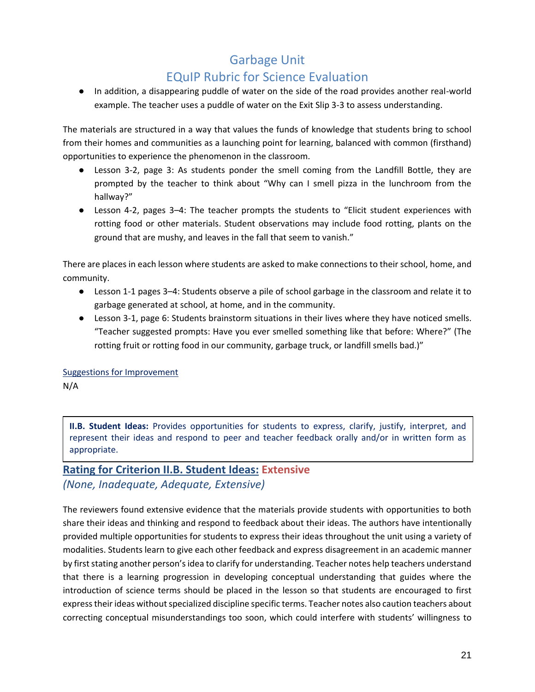● In addition, a disappearing puddle of water on the side of the road provides another real-world example. The teacher uses a puddle of water on the Exit Slip 3-3 to assess understanding.

The materials are structured in a way that values the funds of knowledge that students bring to school from their homes and communities as a launching point for learning, balanced with common (firsthand) opportunities to experience the phenomenon in the classroom.

- Lesson 3-2, page 3: As students ponder the smell coming from the Landfill Bottle, they are prompted by the teacher to think about "Why can I smell pizza in the lunchroom from the hallway?"
- Lesson 4-2, pages 3*–*4: The teacher prompts the students to "Elicit student experiences with rotting food or other materials. Student observations may include food rotting, plants on the ground that are mushy, and leaves in the fall that seem to vanish."

There are places in each lesson where students are asked to make connections to their school, home, and community.

- Lesson 1-1 pages 3–4: Students observe a pile of school garbage in the classroom and relate it to garbage generated at school, at home, and in the community.
- Lesson 3-1, page 6: Students brainstorm situations in their lives where they have noticed smells. "Teacher suggested prompts: Have you ever smelled something like that before: Where?" (The rotting fruit or rotting food in our community, garbage truck, or landfill smells bad.)"

Suggestions for Improvement N/A

**II.B. Student Ideas:** Provides opportunities for students to express, clarify, justify, interpret, and represent their ideas and respond to peer and teacher feedback orally and/or in written form as appropriate.

### **Rating for Criterion II.B. Student Ideas: Extensive** *(None, Inadequate, Adequate, Extensive)*

The reviewers found extensive evidence that the materials provide students with opportunities to both share their ideas and thinking and respond to feedback about their ideas. The authors have intentionally provided multiple opportunities for students to express their ideas throughout the unit using a variety of modalities. Students learn to give each other feedback and express disagreement in an academic manner by first stating another person's idea to clarify for understanding. Teacher notes help teachers understand that there is a learning progression in developing conceptual understanding that guides where the introduction of science terms should be placed in the lesson so that students are encouraged to first express their ideas without specialized discipline specific terms. Teacher notes also caution teachers about correcting conceptual misunderstandings too soon, which could interfere with students' willingness to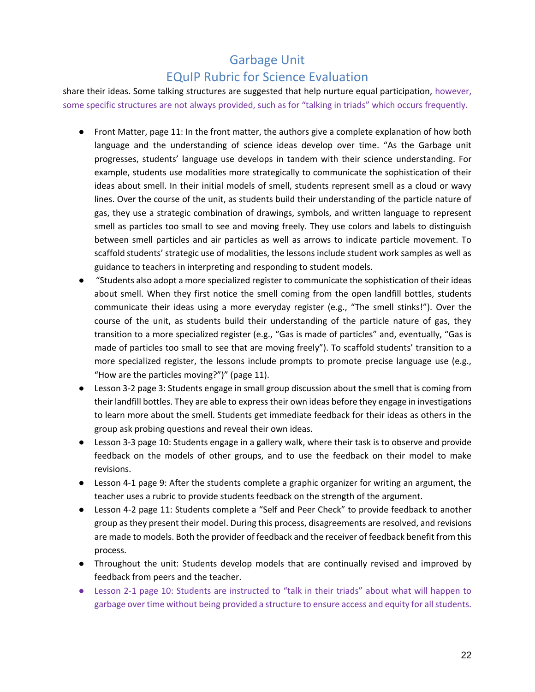## EQuIP Rubric for Science Evaluation

share their ideas. Some talking structures are suggested that help nurture equal participation, however, some specific structures are not always provided, such as for "talking in triads" which occurs frequently.

- Front Matter, page 11: In the front matter, the authors give a complete explanation of how both language and the understanding of science ideas develop over time. "As the Garbage unit progresses, students' language use develops in tandem with their science understanding. For example, students use modalities more strategically to communicate the sophistication of their ideas about smell. In their initial models of smell, students represent smell as a cloud or wavy lines. Over the course of the unit, as students build their understanding of the particle nature of gas, they use a strategic combination of drawings, symbols, and written language to represent smell as particles too small to see and moving freely. They use colors and labels to distinguish between smell particles and air particles as well as arrows to indicate particle movement. To scaffold students' strategic use of modalities, the lessons include student work samples as well as guidance to teachers in interpreting and responding to student models.
- "Students also adopt a more specialized register to communicate the sophistication of their ideas about smell. When they first notice the smell coming from the open landfill bottles, students communicate their ideas using a more everyday register (e.g., "The smell stinks!"). Over the course of the unit, as students build their understanding of the particle nature of gas, they transition to a more specialized register (e.g., "Gas is made of particles" and, eventually, "Gas is made of particles too small to see that are moving freely"). To scaffold students' transition to a more specialized register, the lessons include prompts to promote precise language use (e.g., "How are the particles moving?")" (page 11).
- Lesson 3-2 page 3: Students engage in small group discussion about the smell that is coming from their landfill bottles. They are able to express their own ideas before they engage in investigations to learn more about the smell. Students get immediate feedback for their ideas as others in the group ask probing questions and reveal their own ideas.
- Lesson 3-3 page 10: Students engage in a gallery walk, where their task is to observe and provide feedback on the models of other groups, and to use the feedback on their model to make revisions.
- Lesson 4-1 page 9: After the students complete a graphic organizer for writing an argument, the teacher uses a rubric to provide students feedback on the strength of the argument.
- Lesson 4-2 page 11: Students complete a "Self and Peer Check" to provide feedback to another group as they present their model. During this process, disagreements are resolved, and revisions are made to models. Both the provider of feedback and the receiver of feedback benefit from this process.
- Throughout the unit: Students develop models that are continually revised and improved by feedback from peers and the teacher.
- Lesson 2-1 page 10: Students are instructed to "talk in their triads" about what will happen to garbage over time without being provided a structure to ensure access and equity for all students.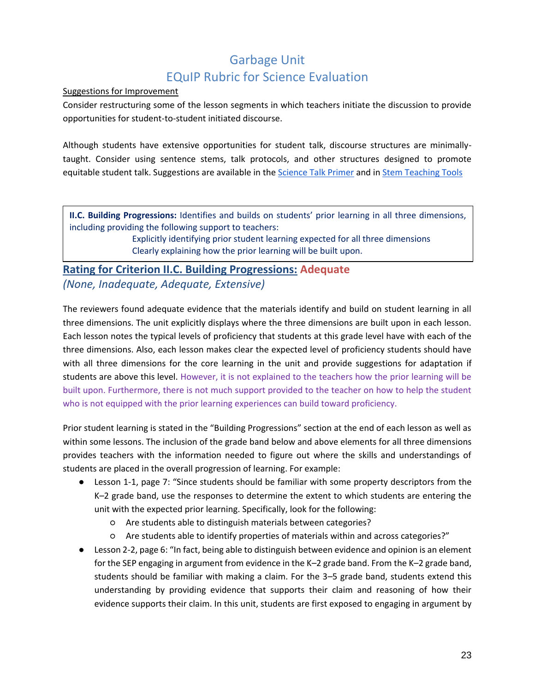#### Suggestions for Improvement

Consider restructuring some of the lesson segments in which teachers initiate the discussion to provide opportunities for student-to-student initiated discourse.

Although students have extensive opportunities for student talk, discourse structures are minimallytaught. Consider using sentence stems, talk protocols, and other structures designed to promote equitable student talk. Suggestions are available in the Science Talk Primer and in [Stem Teaching Tools](http://stemteachingtools.org/brief/48)

**II.C. Building Progressions:** Identifies and builds on students' prior learning in all three dimensions, including providing the following support to teachers:

> Explicitly identifying prior student learning expected for all three dimensions Clearly explaining how the prior learning will be built upon.

### **Rating for Criterion II.C. Building Progressions: Adequate** *(None, Inadequate, Adequate, Extensive)*

The reviewers found adequate evidence that the materials identify and build on student learning in all three dimensions. The unit explicitly displays where the three dimensions are built upon in each lesson. Each lesson notes the typical levels of proficiency that students at this grade level have with each of the three dimensions. Also, each lesson makes clear the expected level of proficiency students should have with all three dimensions for the core learning in the unit and provide suggestions for adaptation if students are above this level. However, it is not explained to the teachers how the prior learning will be built upon. Furthermore, there is not much support provided to the teacher on how to help the student who is not equipped with the prior learning experiences can build toward proficiency.

Prior student learning is stated in the "Building Progressions" section at the end of each lesson as well as within some lessons. The inclusion of the grade band below and above elements for all three dimensions provides teachers with the information needed to figure out where the skills and understandings of students are placed in the overall progression of learning. For example:

- Lesson 1-1, page 7: "Since students should be familiar with some property descriptors from the K*–*2 grade band, use the responses to determine the extent to which students are entering the unit with the expected prior learning. Specifically, look for the following:
	- Are students able to distinguish materials between categories?
	- Are students able to identify properties of materials within and across categories?"
- Lesson 2-2, page 6: "In fact, being able to distinguish between evidence and opinion is an element for the SEP engaging in argument from evidence in the K*–*2 grade band. From the K*–*2 grade band, students should be familiar with making a claim. For the 3*–*5 grade band, students extend this understanding by providing evidence that supports their claim and reasoning of how their evidence supports their claim. In this unit, students are first exposed to engaging in argument by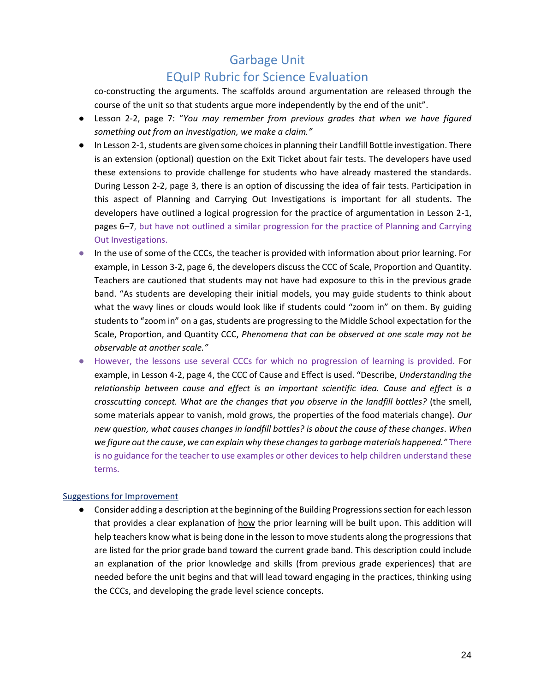### EQuIP Rubric for Science Evaluation

co-constructing the arguments. The scaffolds around argumentation are released through the course of the unit so that students argue more independently by the end of the unit".

- Lesson 2-2, page 7: "*You may remember from previous grades that when we have figured something out from an investigation, we make a claim."*
- In Lesson 2-1, students are given some choices in planning their Landfill Bottle investigation. There is an extension (optional) question on the Exit Ticket about fair tests. The developers have used these extensions to provide challenge for students who have already mastered the standards. During Lesson 2-2, page 3, there is an option of discussing the idea of fair tests. Participation in this aspect of Planning and Carrying Out Investigations is important for all students. The developers have outlined a logical progression for the practice of argumentation in Lesson 2-1, pages 6*–*7, but have not outlined a similar progression for the practice of Planning and Carrying Out Investigations.
- In the use of some of the CCCs, the teacher is provided with information about prior learning. For example, in Lesson 3-2, page 6, the developers discuss the CCC of Scale, Proportion and Quantity. Teachers are cautioned that students may not have had exposure to this in the previous grade band. "As students are developing their initial models, you may guide students to think about what the wavy lines or clouds would look like if students could "zoom in" on them. By guiding students to "zoom in" on a gas, students are progressing to the Middle School expectation for the Scale, Proportion, and Quantity CCC, *Phenomena that can be observed at one scale may not be observable at another scale."*
- However, the lessons use several CCCs for which no progression of learning is provided. For example, in Lesson 4-2, page 4, the CCC of Cause and Effect is used. "Describe, *Understanding the relationship between cause and effect is an important scientific idea. Cause and effect is a crosscutting concept. What are the changes that you observe in the landfill bottles?* (the smell, some materials appear to vanish, mold grows, the properties of the food materials change). *Our new question, what causes changes in landfill bottles? is about the cause of these changes*. *When we figure out the cause*, *we can explain why these changes to garbage materials happened."* There is no guidance for the teacher to use examples or other devices to help children understand these terms.

#### Suggestions for Improvement

● Consider adding a description at the beginning of the Building Progressions section for each lesson that provides a clear explanation of how the prior learning will be built upon. This addition will help teachers know what is being done in the lesson to move students along the progressions that are listed for the prior grade band toward the current grade band. This description could include an explanation of the prior knowledge and skills (from previous grade experiences) that are needed before the unit begins and that will lead toward engaging in the practices, thinking using the CCCs, and developing the grade level science concepts.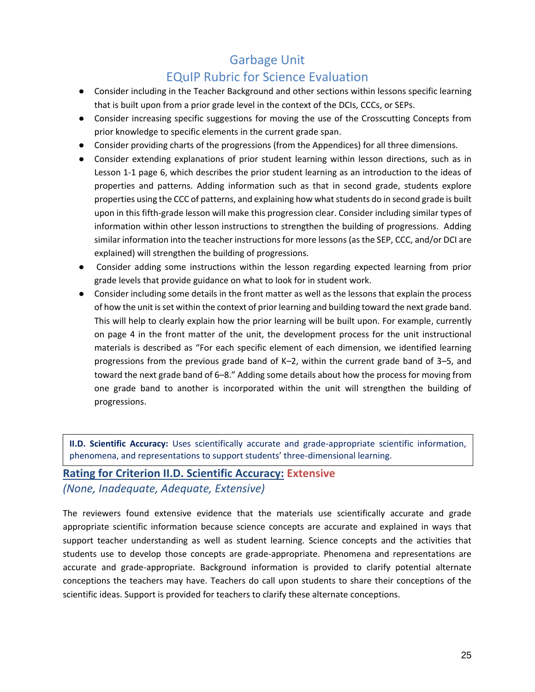## EQuIP Rubric for Science Evaluation

- Consider including in the Teacher Background and other sections within lessons specific learning that is built upon from a prior grade level in the context of the DCIs, CCCs, or SEPs.
- Consider increasing specific suggestions for moving the use of the Crosscutting Concepts from prior knowledge to specific elements in the current grade span.
- Consider providing charts of the progressions (from the Appendices) for all three dimensions.
- Consider extending explanations of prior student learning within lesson directions, such as in Lesson 1-1 page 6, which describes the prior student learning as an introduction to the ideas of properties and patterns. Adding information such as that in second grade, students explore properties using the CCC of patterns, and explaining how what students do in second grade is built upon in this fifth-grade lesson will make this progression clear. Consider including similar types of information within other lesson instructions to strengthen the building of progressions. Adding similar information into the teacher instructions for more lessons (as the SEP, CCC, and/or DCI are explained) will strengthen the building of progressions.
- Consider adding some instructions within the lesson regarding expected learning from prior grade levels that provide guidance on what to look for in student work.
- Consider including some details in the front matter as well as the lessons that explain the process of how the unit is set within the context of prior learning and building toward the next grade band. This will help to clearly explain how the prior learning will be built upon. For example, currently on page 4 in the front matter of the unit, the development process for the unit instructional materials is described as "For each specific element of each dimension, we identified learning progressions from the previous grade band of K*–*2, within the current grade band of 3*–*5, and toward the next grade band of 6*–*8." Adding some details about how the process for moving from one grade band to another is incorporated within the unit will strengthen the building of progressions.

**II.D. Scientific Accuracy:** Uses scientifically accurate and grade-appropriate scientific information, phenomena, and representations to support students' three-dimensional learning.

#### **Rating for Criterion II.D. Scientific Accuracy: Extensive** *(None, Inadequate, Adequate, Extensive)*

The reviewers found extensive evidence that the materials use scientifically accurate and grade appropriate scientific information because science concepts are accurate and explained in ways that support teacher understanding as well as student learning. Science concepts and the activities that students use to develop those concepts are grade-appropriate. Phenomena and representations are accurate and grade-appropriate. Background information is provided to clarify potential alternate conceptions the teachers may have. Teachers do call upon students to share their conceptions of the scientific ideas. Support is provided for teachers to clarify these alternate conceptions.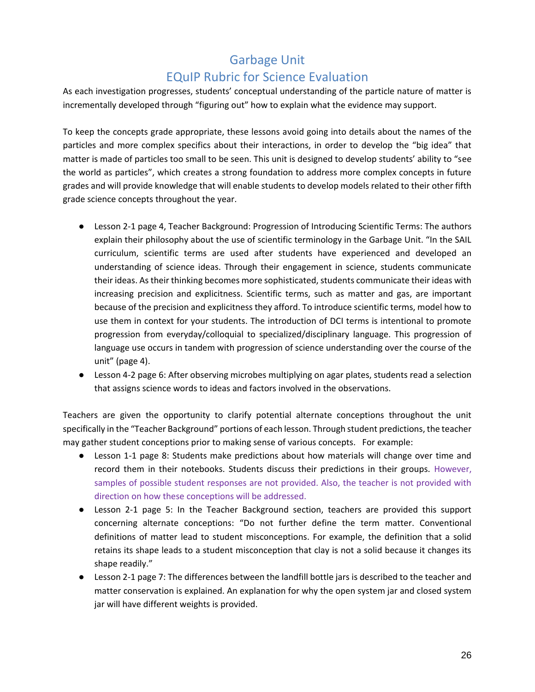As each investigation progresses, students' conceptual understanding of the particle nature of matter is incrementally developed through "figuring out" how to explain what the evidence may support.

To keep the concepts grade appropriate, these lessons avoid going into details about the names of the particles and more complex specifics about their interactions, in order to develop the "big idea" that matter is made of particles too small to be seen. This unit is designed to develop students' ability to "see the world as particles", which creates a strong foundation to address more complex concepts in future grades and will provide knowledge that will enable students to develop models related to their other fifth grade science concepts throughout the year.

- Lesson 2-1 page 4, Teacher Background: Progression of Introducing Scientific Terms: The authors explain their philosophy about the use of scientific terminology in the Garbage Unit. "In the SAIL curriculum, scientific terms are used after students have experienced and developed an understanding of science ideas. Through their engagement in science, students communicate their ideas. As their thinking becomes more sophisticated, students communicate their ideas with increasing precision and explicitness. Scientific terms, such as matter and gas, are important because of the precision and explicitness they afford. To introduce scientific terms, model how to use them in context for your students. The introduction of DCI terms is intentional to promote progression from everyday/colloquial to specialized/disciplinary language. This progression of language use occurs in tandem with progression of science understanding over the course of the unit" (page 4).
- Lesson 4-2 page 6: After observing microbes multiplying on agar plates, students read a selection that assigns science words to ideas and factors involved in the observations.

Teachers are given the opportunity to clarify potential alternate conceptions throughout the unit specifically in the "Teacher Background" portions of each lesson. Through student predictions, the teacher may gather student conceptions prior to making sense of various concepts. For example:

- Lesson 1-1 page 8: Students make predictions about how materials will change over time and record them in their notebooks. Students discuss their predictions in their groups. However, samples of possible student responses are not provided. Also, the teacher is not provided with direction on how these conceptions will be addressed.
- Lesson 2-1 page 5: In the Teacher Background section, teachers are provided this support concerning alternate conceptions: "Do not further define the term matter. Conventional definitions of matter lead to student misconceptions. For example, the definition that a solid retains its shape leads to a student misconception that clay is not a solid because it changes its shape readily."
- Lesson 2-1 page 7: The differences between the landfill bottle jars is described to the teacher and matter conservation is explained. An explanation for why the open system jar and closed system jar will have different weights is provided.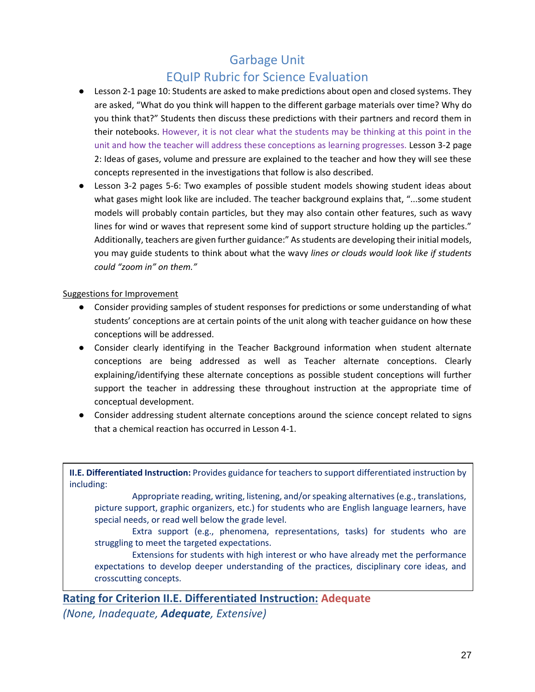## EQuIP Rubric for Science Evaluation

- Lesson 2-1 page 10: Students are asked to make predictions about open and closed systems. They are asked, "What do you think will happen to the different garbage materials over time? Why do you think that?" Students then discuss these predictions with their partners and record them in their notebooks. However, it is not clear what the students may be thinking at this point in the unit and how the teacher will address these conceptions as learning progresses. Lesson 3-2 page 2: Ideas of gases, volume and pressure are explained to the teacher and how they will see these concepts represented in the investigations that follow is also described.
- Lesson 3-2 pages 5-6: Two examples of possible student models showing student ideas about what gases might look like are included. The teacher background explains that, "...some student models will probably contain particles, but they may also contain other features, such as wavy lines for wind or waves that represent some kind of support structure holding up the particles." Additionally, teachers are given further guidance:" As students are developing their initial models, you may guide students to think about what the wavy *lines or clouds would look like if students could "zoom in" on them."*

#### Suggestions for Improvement

- Consider providing samples of student responses for predictions or some understanding of what students' conceptions are at certain points of the unit along with teacher guidance on how these conceptions will be addressed.
- Consider clearly identifying in the Teacher Background information when student alternate conceptions are being addressed as well as Teacher alternate conceptions. Clearly explaining/identifying these alternate conceptions as possible student conceptions will further support the teacher in addressing these throughout instruction at the appropriate time of conceptual development.
- Consider addressing student alternate conceptions around the science concept related to signs that a chemical reaction has occurred in Lesson 4-1.

**II.E. Differentiated Instruction:** Provides guidance for teachers to support differentiated instruction by including:

Appropriate reading, writing, listening, and/or speaking alternatives (e.g., translations, picture support, graphic organizers, etc.) for students who are English language learners, have special needs, or read well below the grade level.

Extra support (e.g., phenomena, representations, tasks) for students who are struggling to meet the targeted expectations.

Extensions for students with high interest or who have already met the performance expectations to develop deeper understanding of the practices, disciplinary core ideas, and crosscutting concepts.

**Rating for Criterion II.E. Differentiated Instruction: Adequate** *(None, Inadequate, Adequate, Extensive)*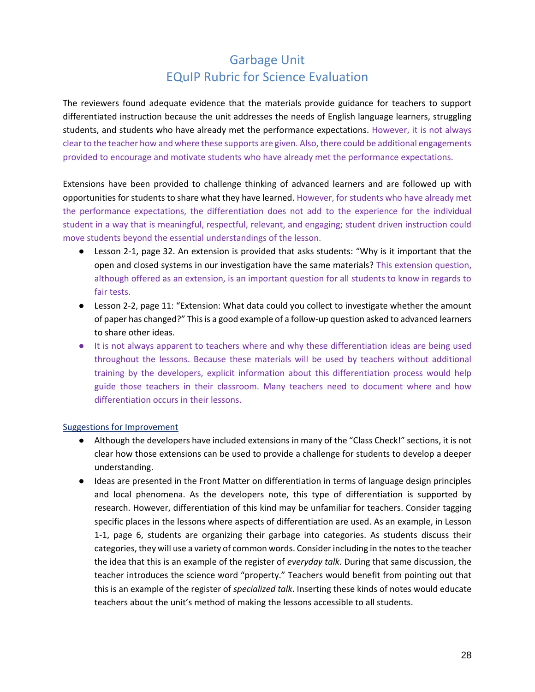The reviewers found adequate evidence that the materials provide guidance for teachers to support differentiated instruction because the unit addresses the needs of English language learners, struggling students, and students who have already met the performance expectations. However, it is not always clear to the teacher how and where these supports are given. Also, there could be additional engagements provided to encourage and motivate students who have already met the performance expectations.

Extensions have been provided to challenge thinking of advanced learners and are followed up with opportunities for students to share what they have learned. However, for students who have already met the performance expectations, the differentiation does not add to the experience for the individual student in a way that is meaningful, respectful, relevant, and engaging; student driven instruction could move students beyond the essential understandings of the lesson.

- Lesson 2-1, page 32. An extension is provided that asks students: "Why is it important that the open and closed systems in our investigation have the same materials? This extension question, although offered as an extension, is an important question for all students to know in regards to fair tests.
- Lesson 2-2, page 11: "Extension: What data could you collect to investigate whether the amount of paper has changed?" This is a good example of a follow-up question asked to advanced learners to share other ideas.
- It is not always apparent to teachers where and why these differentiation ideas are being used throughout the lessons. Because these materials will be used by teachers without additional training by the developers, explicit information about this differentiation process would help guide those teachers in their classroom. Many teachers need to document where and how differentiation occurs in their lessons.

#### Suggestions for Improvement

- Although the developers have included extensions in many of the "Class Check!" sections, it is not clear how those extensions can be used to provide a challenge for students to develop a deeper understanding.
- Ideas are presented in the Front Matter on differentiation in terms of language design principles and local phenomena. As the developers note, this type of differentiation is supported by research. However, differentiation of this kind may be unfamiliar for teachers. Consider tagging specific places in the lessons where aspects of differentiation are used. As an example, in Lesson 1-1, page 6, students are organizing their garbage into categories. As students discuss their categories, they will use a variety of common words. Consider including in the notes to the teacher the idea that this is an example of the register of *everyday talk*. During that same discussion, the teacher introduces the science word "property." Teachers would benefit from pointing out that this is an example of the register of *specialized talk*. Inserting these kinds of notes would educate teachers about the unit's method of making the lessons accessible to all students.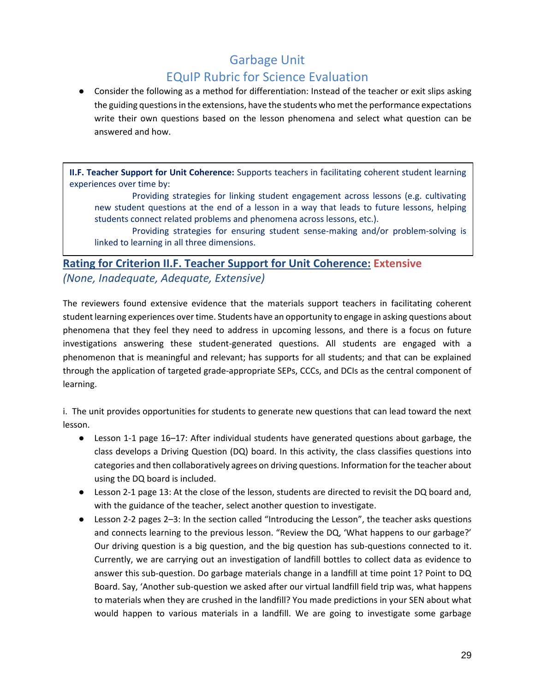● Consider the following as a method for differentiation: Instead of the teacher or exit slips asking the guiding questions in the extensions, have the students who met the performance expectations write their own questions based on the lesson phenomena and select what question can be answered and how.

**II.F. Teacher Support for Unit Coherence:** Supports teachers in facilitating coherent student learning experiences over time by:

Providing strategies for linking student engagement across lessons (e.g. cultivating new student questions at the end of a lesson in a way that leads to future lessons, helping students connect related problems and phenomena across lessons, etc.).

Providing strategies for ensuring student sense-making and/or problem-solving is linked to learning in all three dimensions.

## **Rating for Criterion II.F. Teacher Support for Unit Coherence: Extensive** *(None, Inadequate, Adequate, Extensive)*

The reviewers found extensive evidence that the materials support teachers in facilitating coherent student learning experiences over time. Students have an opportunity to engage in asking questions about phenomena that they feel they need to address in upcoming lessons, and there is a focus on future investigations answering these student-generated questions. All students are engaged with a phenomenon that is meaningful and relevant; has supports for all students; and that can be explained through the application of targeted grade-appropriate SEPs, CCCs, and DCIs as the central component of learning.

i. The unit provides opportunities for students to generate new questions that can lead toward the next lesson.

- Lesson 1-1 page 16–17: After individual students have generated questions about garbage, the class develops a Driving Question (DQ) board. In this activity, the class classifies questions into categories and then collaboratively agrees on driving questions. Information for the teacher about using the DQ board is included.
- Lesson 2-1 page 13: At the close of the lesson, students are directed to revisit the DQ board and, with the guidance of the teacher, select another question to investigate.
- Lesson 2-2 pages 2–3: In the section called "Introducing the Lesson", the teacher asks questions and connects learning to the previous lesson. "Review the DQ, 'What happens to our garbage?' Our driving question is a big question, and the big question has sub-questions connected to it. Currently, we are carrying out an investigation of landfill bottles to collect data as evidence to answer this sub-question. Do garbage materials change in a landfill at time point 1? Point to DQ Board. Say, 'Another sub-question we asked after our virtual landfill field trip was, what happens to materials when they are crushed in the landfill? You made predictions in your SEN about what would happen to various materials in a landfill. We are going to investigate some garbage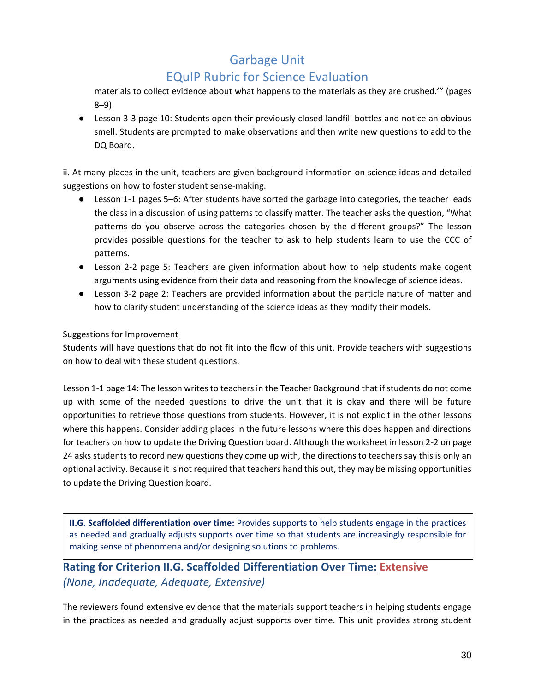# EQuIP Rubric for Science Evaluation

materials to collect evidence about what happens to the materials as they are crushed.'" (pages 8–9)

● Lesson 3-3 page 10: Students open their previously closed landfill bottles and notice an obvious smell. Students are prompted to make observations and then write new questions to add to the DQ Board.

ii. At many places in the unit, teachers are given background information on science ideas and detailed suggestions on how to foster student sense-making.

- Lesson 1-1 pages 5–6: After students have sorted the garbage into categories, the teacher leads the class in a discussion of using patterns to classify matter. The teacher asks the question, "What patterns do you observe across the categories chosen by the different groups?" The lesson provides possible questions for the teacher to ask to help students learn to use the CCC of patterns.
- Lesson 2-2 page 5: Teachers are given information about how to help students make cogent arguments using evidence from their data and reasoning from the knowledge of science ideas.
- Lesson 3-2 page 2: Teachers are provided information about the particle nature of matter and how to clarify student understanding of the science ideas as they modify their models.

#### Suggestions for Improvement

Students will have questions that do not fit into the flow of this unit. Provide teachers with suggestions on how to deal with these student questions.

Lesson 1-1 page 14: The lesson writes to teachers in the Teacher Background that if students do not come up with some of the needed questions to drive the unit that it is okay and there will be future opportunities to retrieve those questions from students. However, it is not explicit in the other lessons where this happens. Consider adding places in the future lessons where this does happen and directions for teachers on how to update the Driving Question board. Although the worksheet in lesson 2-2 on page 24 asks students to record new questions they come up with, the directions to teachers say this is only an optional activity. Because it is not required that teachers hand this out, they may be missing opportunities to update the Driving Question board.

**II.G. Scaffolded differentiation over time:** Provides supports to help students engage in the practices as needed and gradually adjusts supports over time so that students are increasingly responsible for making sense of phenomena and/or designing solutions to problems.

## **Rating for Criterion II.G. Scaffolded Differentiation Over Time: Extensive** *(None, Inadequate, Adequate, Extensive)*

The reviewers found extensive evidence that the materials support teachers in helping students engage in the practices as needed and gradually adjust supports over time. This unit provides strong student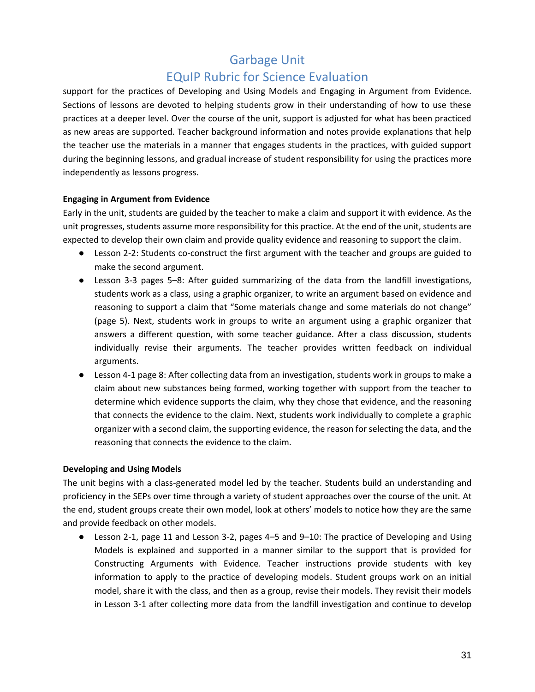support for the practices of Developing and Using Models and Engaging in Argument from Evidence. Sections of lessons are devoted to helping students grow in their understanding of how to use these practices at a deeper level. Over the course of the unit, support is adjusted for what has been practiced as new areas are supported. Teacher background information and notes provide explanations that help the teacher use the materials in a manner that engages students in the practices, with guided support during the beginning lessons, and gradual increase of student responsibility for using the practices more independently as lessons progress.

#### **Engaging in Argument from Evidence**

Early in the unit, students are guided by the teacher to make a claim and support it with evidence. As the unit progresses, students assume more responsibility for this practice. At the end of the unit, students are expected to develop their own claim and provide quality evidence and reasoning to support the claim.

- Lesson 2-2: Students co-construct the first argument with the teacher and groups are guided to make the second argument.
- Lesson 3-3 pages 5–8: After guided summarizing of the data from the landfill investigations, students work as a class, using a graphic organizer, to write an argument based on evidence and reasoning to support a claim that "Some materials change and some materials do not change" (page 5). Next, students work in groups to write an argument using a graphic organizer that answers a different question, with some teacher guidance. After a class discussion, students individually revise their arguments. The teacher provides written feedback on individual arguments.
- Lesson 4-1 page 8: After collecting data from an investigation, students work in groups to make a claim about new substances being formed, working together with support from the teacher to determine which evidence supports the claim, why they chose that evidence, and the reasoning that connects the evidence to the claim. Next, students work individually to complete a graphic organizer with a second claim, the supporting evidence, the reason for selecting the data, and the reasoning that connects the evidence to the claim.

#### **Developing and Using Models**

The unit begins with a class-generated model led by the teacher. Students build an understanding and proficiency in the SEPs over time through a variety of student approaches over the course of the unit. At the end, student groups create their own model, look at others' models to notice how they are the same and provide feedback on other models.

● Lesson 2-1, page 11 and Lesson 3-2, pages 4–5 and 9–10: The practice of Developing and Using Models is explained and supported in a manner similar to the support that is provided for Constructing Arguments with Evidence. Teacher instructions provide students with key information to apply to the practice of developing models. Student groups work on an initial model, share it with the class, and then as a group, revise their models. They revisit their models in Lesson 3-1 after collecting more data from the landfill investigation and continue to develop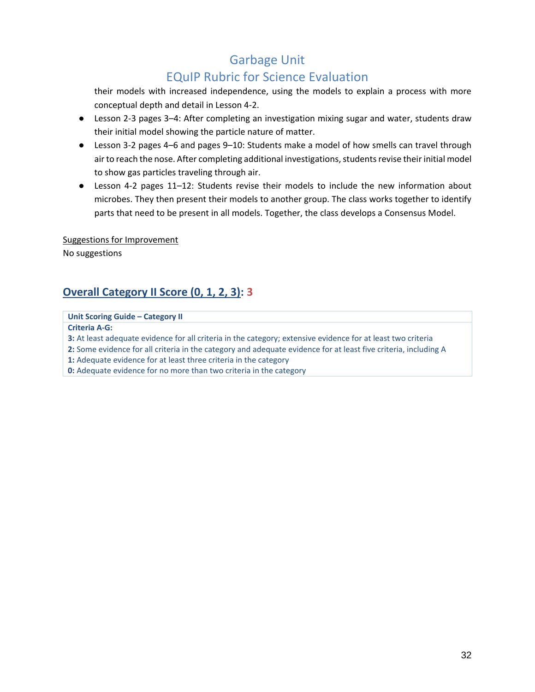## EQuIP Rubric for Science Evaluation

their models with increased independence, using the models to explain a process with more conceptual depth and detail in Lesson 4-2.

- Lesson 2-3 pages 3–4: After completing an investigation mixing sugar and water, students draw their initial model showing the particle nature of matter.
- Lesson 3-2 pages 4–6 and pages 9–10: Students make a model of how smells can travel through air to reach the nose. After completing additional investigations, students revise their initial model to show gas particles traveling through air.
- Lesson 4-2 pages 11–12: Students revise their models to include the new information about microbes. They then present their models to another group. The class works together to identify parts that need to be present in all models. Together, the class develops a Consensus Model.

Suggestions for Improvement No suggestions

# **Overall Category II Score (0, 1, 2, 3): 3**

**Unit Scoring Guide – Category II**

**Criteria A‐G:**

**3:** At least adequate evidence for all criteria in the category; extensive evidence for at least two criteria

**2:** Some evidence for all criteria in the category and adequate evidence for at least five criteria, including A

**1:** Adequate evidence for at least three criteria in the category

**0:** Adequate evidence for no more than two criteria in the category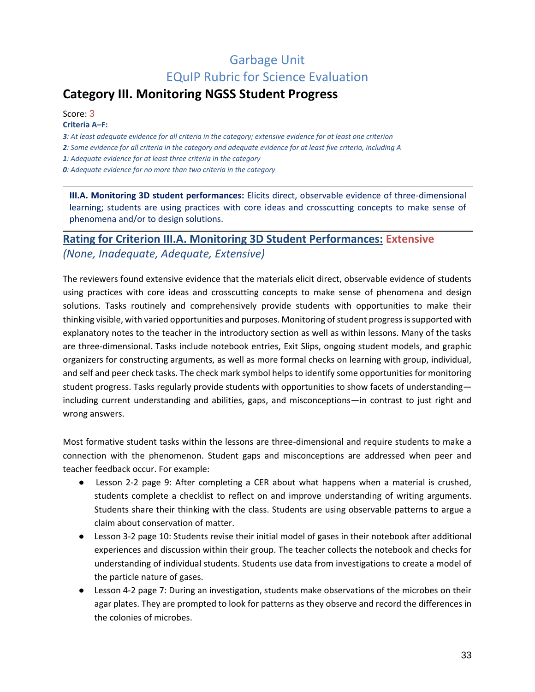# <span id="page-32-0"></span>**Category III. Monitoring NGSS Student Progress**

Score: 3 **Criteria A***–***F:**

*3: At least adequate evidence for all criteria in the category; extensive evidence for at least one criterion*

*2: Some evidence for all criteria in the category and adequate evidence for at least five criteria, including A*

*1: Adequate evidence for at least three criteria in the category*

*0: Adequate evidence for no more than two criteria in the category*

**III.A. Monitoring 3D student performances:** Elicits direct, observable evidence of three-dimensional learning; students are using practices with core ideas and crosscutting concepts to make sense of phenomena and/or to design solutions.

### **Rating for Criterion III.A. Monitoring 3D Student Performances: Extensive** *(None, Inadequate, Adequate, Extensive)*

The reviewers found extensive evidence that the materials elicit direct, observable evidence of students using practices with core ideas and crosscutting concepts to make sense of phenomena and design solutions. Tasks routinely and comprehensively provide students with opportunities to make their thinking visible, with varied opportunities and purposes. Monitoring of student progress is supported with explanatory notes to the teacher in the introductory section as well as within lessons. Many of the tasks are three-dimensional. Tasks include notebook entries, Exit Slips, ongoing student models, and graphic organizers for constructing arguments, as well as more formal checks on learning with group, individual, and self and peer check tasks. The check mark symbol helps to identify some opportunities for monitoring student progress. Tasks regularly provide students with opportunities to show facets of understanding including current understanding and abilities, gaps, and misconceptions—in contrast to just right and wrong answers.

Most formative student tasks within the lessons are three-dimensional and require students to make a connection with the phenomenon. Student gaps and misconceptions are addressed when peer and teacher feedback occur. For example:

- Lesson 2-2 page 9: After completing a CER about what happens when a material is crushed, students complete a checklist to reflect on and improve understanding of writing arguments. Students share their thinking with the class. Students are using observable patterns to argue a claim about conservation of matter.
- Lesson 3-2 page 10: Students revise their initial model of gases in their notebook after additional experiences and discussion within their group. The teacher collects the notebook and checks for understanding of individual students. Students use data from investigations to create a model of the particle nature of gases.
- Lesson 4-2 page 7: During an investigation, students make observations of the microbes on their agar plates. They are prompted to look for patterns as they observe and record the differences in the colonies of microbes.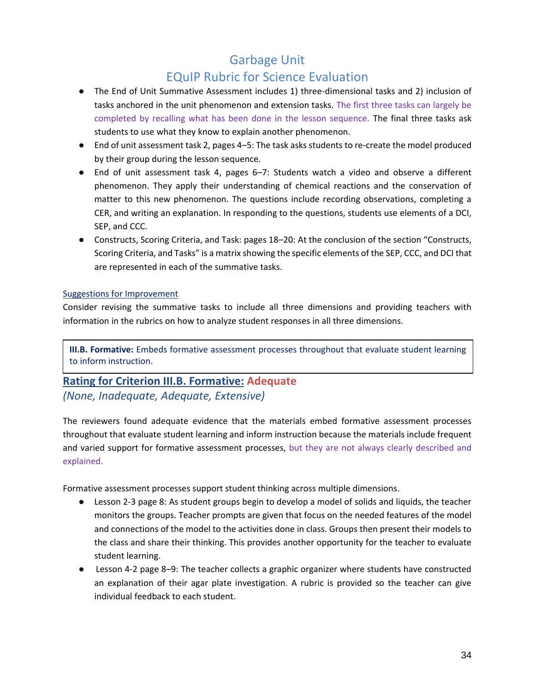## EQuIP Rubric for Science Evaluation

- The End of Unit Summative Assessment includes 1) three-dimensional tasks and 2) inclusion of tasks anchored in the unit phenomenon and extension tasks. The first three tasks can largely be completed by recalling what has been done in the lesson sequence. The final three tasks ask students to use what they know to explain another phenomenon.
- End of unit assessment task 2, pages 4–5: The task asks students to re-create the model produced by their group during the lesson sequence.
- End of unit assessment task 4, pages 6–7: Students watch a video and observe a different phenomenon. They apply their understanding of chemical reactions and the conservation of matter to this new phenomenon. The questions include recording observations, completing a CER, and writing an explanation. In responding to the questions, students use elements of a DCI, SEP, and CCC.
- Constructs, Scoring Criteria, and Task: pages 18–20: At the conclusion of the section "Constructs, Scoring Criteria, and Tasks" is a matrix showing the specific elements of the SEP, CCC, and DCI that are represented in each of the summative tasks.

#### Suggestions for Improvement

Consider revising the summative tasks to include all three dimensions and providing teachers with information in the rubrics on how to analyze student responses in all three dimensions.

**III.B. Formative:** Embeds formative assessment processes throughout that evaluate student learning to inform instruction.

# **Rating for Criterion III.B. Formative: Adequate**

#### *(None, Inadequate, Adequate, Extensive)*

The reviewers found adequate evidence that the materials embed formative assessment processes throughout that evaluate student learning and inform instruction because the materials include frequent and varied support for formative assessment processes, but they are not always clearly described and explained.

Formative assessment processes support student thinking across multiple dimensions.

- Lesson 2-3 page 8: As student groups begin to develop a model of solids and liquids, the teacher monitors the groups. Teacher prompts are given that focus on the needed features of the model and connections of the model to the activities done in class. Groups then present their models to the class and share their thinking. This provides another opportunity for the teacher to evaluate student learning.
- Lesson 4-2 page 8–9: The teacher collects a graphic organizer where students have constructed an explanation of their agar plate investigation. A rubric is provided so the teacher can give individual feedback to each student.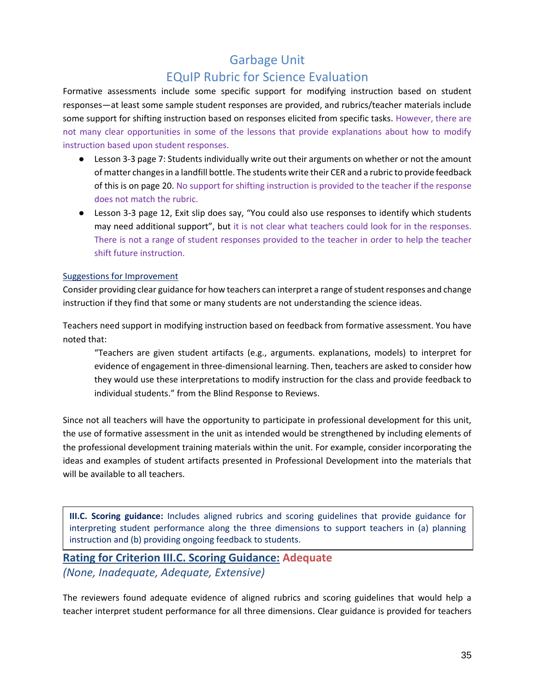### EQuIP Rubric for Science Evaluation

Formative assessments include some specific support for modifying instruction based on student responses—at least some sample student responses are provided, and rubrics/teacher materials include some support for shifting instruction based on responses elicited from specific tasks. However, there are not many clear opportunities in some of the lessons that provide explanations about how to modify instruction based upon student responses.

- Lesson 3-3 page 7: Students individually write out their arguments on whether or not the amount of matter changes in a landfill bottle. The students write their CER and a rubric to provide feedback of this is on page 20. No support for shifting instruction is provided to the teacher if the response does not match the rubric.
- Lesson 3-3 page 12, Exit slip does say, "You could also use responses to identify which students may need additional support", but it is not clear what teachers could look for in the responses. There is not a range of student responses provided to the teacher in order to help the teacher shift future instruction.

#### Suggestions for Improvement

Consider providing clear guidance for how teachers can interpret a range of student responses and change instruction if they find that some or many students are not understanding the science ideas.

Teachers need support in modifying instruction based on feedback from formative assessment. You have noted that:

"Teachers are given student artifacts (e.g., arguments. explanations, models) to interpret for evidence of engagement in three-dimensional learning. Then, teachers are asked to consider how they would use these interpretations to modify instruction for the class and provide feedback to individual students." from the Blind Response to Reviews.

Since not all teachers will have the opportunity to participate in professional development for this unit, the use of formative assessment in the unit as intended would be strengthened by including elements of the professional development training materials within the unit. For example, consider incorporating the ideas and examples of student artifacts presented in Professional Development into the materials that will be available to all teachers.

**III.C. Scoring guidance:** Includes aligned rubrics and scoring guidelines that provide guidance for interpreting student performance along the three dimensions to support teachers in (a) planning instruction and (b) providing ongoing feedback to students.

## **Rating for Criterion III.C. Scoring Guidance: Adequate**

*(None, Inadequate, Adequate, Extensive)*

The reviewers found adequate evidence of aligned rubrics and scoring guidelines that would help a teacher interpret student performance for all three dimensions. Clear guidance is provided for teachers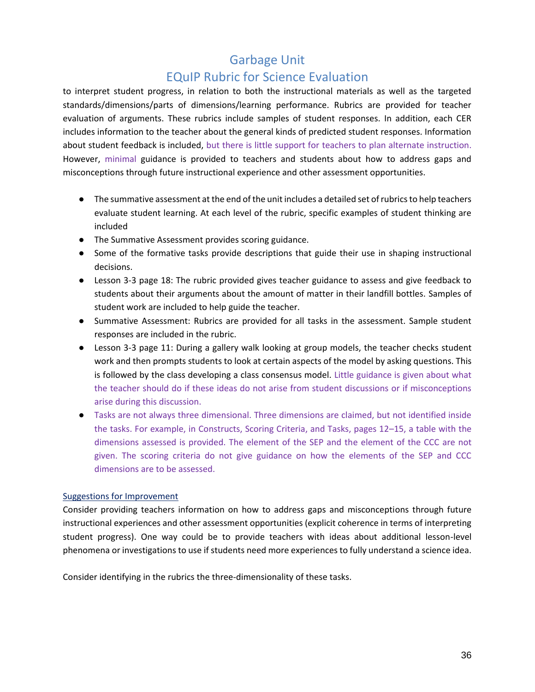### EQuIP Rubric for Science Evaluation

to interpret student progress, in relation to both the instructional materials as well as the targeted standards/dimensions/parts of dimensions/learning performance. Rubrics are provided for teacher evaluation of arguments. These rubrics include samples of student responses. In addition, each CER includes information to the teacher about the general kinds of predicted student responses. Information about student feedback is included, but there is little support for teachers to plan alternate instruction. However, minimal guidance is provided to teachers and students about how to address gaps and misconceptions through future instructional experience and other assessment opportunities.

- The summative assessment at the end of the unit includes a detailed set of rubrics to help teachers evaluate student learning. At each level of the rubric, specific examples of student thinking are included
- The Summative Assessment provides scoring guidance.
- Some of the formative tasks provide descriptions that guide their use in shaping instructional decisions.
- Lesson 3-3 page 18: The rubric provided gives teacher guidance to assess and give feedback to students about their arguments about the amount of matter in their landfill bottles. Samples of student work are included to help guide the teacher.
- Summative Assessment: Rubrics are provided for all tasks in the assessment. Sample student responses are included in the rubric.
- Lesson 3-3 page 11: During a gallery walk looking at group models, the teacher checks student work and then prompts students to look at certain aspects of the model by asking questions. This is followed by the class developing a class consensus model. Little guidance is given about what the teacher should do if these ideas do not arise from student discussions or if misconceptions arise during this discussion.
- Tasks are not always three dimensional. Three dimensions are claimed, but not identified inside the tasks. For example, in Constructs, Scoring Criteria, and Tasks, pages 12–15, a table with the dimensions assessed is provided. The element of the SEP and the element of the CCC are not given. The scoring criteria do not give guidance on how the elements of the SEP and CCC dimensions are to be assessed.

#### Suggestions for Improvement

Consider providing teachers information on how to address gaps and misconceptions through future instructional experiences and other assessment opportunities (explicit coherence in terms of interpreting student progress). One way could be to provide teachers with ideas about additional lesson-level phenomena or investigations to use if students need more experiences to fully understand a science idea.

Consider identifying in the rubrics the three-dimensionality of these tasks.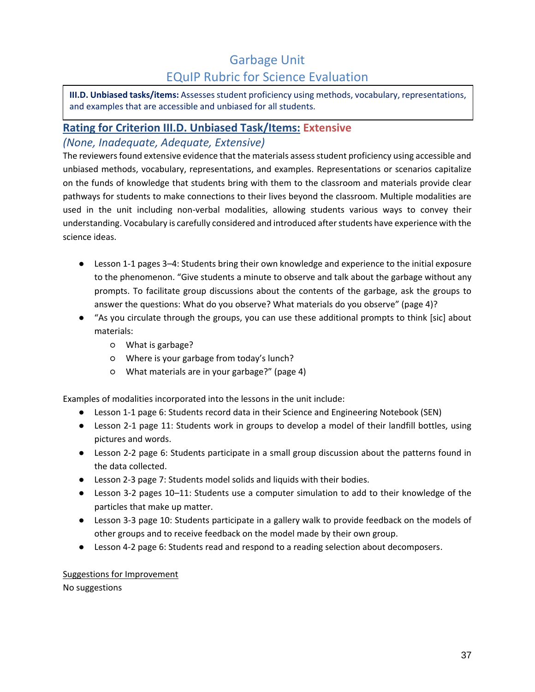**III.D. Unbiased tasks/items:** Assesses student proficiency using methods, vocabulary, representations, and examples that are accessible and unbiased for all students.

### **Rating for Criterion III.D. Unbiased Task/Items: Extensive** *(None, Inadequate, Adequate, Extensive)*

The reviewers found extensive evidence that the materials assess student proficiency using accessible and unbiased methods, vocabulary, representations, and examples. Representations or scenarios capitalize on the funds of knowledge that students bring with them to the classroom and materials provide clear pathways for students to make connections to their lives beyond the classroom. Multiple modalities are used in the unit including non-verbal modalities, allowing students various ways to convey their understanding. Vocabulary is carefully considered and introduced after students have experience with the science ideas.

- Lesson 1-1 pages 3–4: Students bring their own knowledge and experience to the initial exposure to the phenomenon. "Give students a minute to observe and talk about the garbage without any prompts. To facilitate group discussions about the contents of the garbage, ask the groups to answer the questions: What do you observe? What materials do you observe" (page 4)?
- "As you circulate through the groups, you can use these additional prompts to think [sic] about materials:
	- What is garbage?
	- Where is your garbage from today's lunch?
	- What materials are in your garbage?" (page 4)

Examples of modalities incorporated into the lessons in the unit include:

- Lesson 1-1 page 6: Students record data in their Science and Engineering Notebook (SEN)
- Lesson 2-1 page 11: Students work in groups to develop a model of their landfill bottles, using pictures and words.
- Lesson 2-2 page 6: Students participate in a small group discussion about the patterns found in the data collected.
- Lesson 2-3 page 7: Students model solids and liquids with their bodies.
- Lesson 3-2 pages 10*–*11: Students use a computer simulation to add to their knowledge of the particles that make up matter.
- Lesson 3-3 page 10: Students participate in a gallery walk to provide feedback on the models of other groups and to receive feedback on the model made by their own group.
- Lesson 4-2 page 6: Students read and respond to a reading selection about decomposers.

#### Suggestions for Improvement

No suggestions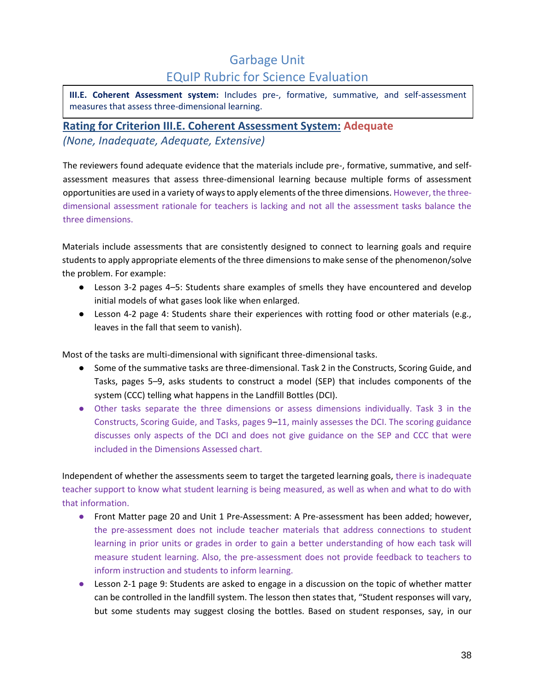**III.E. Coherent Assessment system:** Includes pre-, formative, summative, and self-assessment measures that assess three-dimensional learning.

### **Rating for Criterion III.E. Coherent Assessment System: Adequate** *(None, Inadequate, Adequate, Extensive)*

The reviewers found adequate evidence that the materials include pre-, formative, summative, and selfassessment measures that assess three-dimensional learning because multiple forms of assessment opportunities are used in a variety of ways to apply elements of the three dimensions. However, the threedimensional assessment rationale for teachers is lacking and not all the assessment tasks balance the three dimensions.

Materials include assessments that are consistently designed to connect to learning goals and require students to apply appropriate elements of the three dimensions to make sense of the phenomenon/solve the problem. For example:

- Lesson 3-2 pages 4*–*5: Students share examples of smells they have encountered and develop initial models of what gases look like when enlarged.
- Lesson 4-2 page 4: Students share their experiences with rotting food or other materials (e.g., leaves in the fall that seem to vanish).

Most of the tasks are multi-dimensional with significant three-dimensional tasks.

- Some of the summative tasks are three-dimensional. Task 2 in the Constructs, Scoring Guide, and Tasks, pages 5*–*9, asks students to construct a model (SEP) that includes components of the system (CCC) telling what happens in the Landfill Bottles (DCI).
- Other tasks separate the three dimensions or assess dimensions individually. Task 3 in the Constructs, Scoring Guide, and Tasks, pages 9*–*11, mainly assesses the DCI. The scoring guidance discusses only aspects of the DCI and does not give guidance on the SEP and CCC that were included in the Dimensions Assessed chart.

Independent of whether the assessments seem to target the targeted learning goals, there is inadequate teacher support to know what student learning is being measured, as well as when and what to do with that information.

- Front Matter page 20 and Unit 1 Pre-Assessment: A Pre-assessment has been added; however, the pre-assessment does not include teacher materials that address connections to student learning in prior units or grades in order to gain a better understanding of how each task will measure student learning. Also, the pre-assessment does not provide feedback to teachers to inform instruction and students to inform learning.
- Lesson 2-1 page 9: Students are asked to engage in a discussion on the topic of whether matter can be controlled in the landfill system. The lesson then states that, "Student responses will vary, but some students may suggest closing the bottles. Based on student responses, say, in our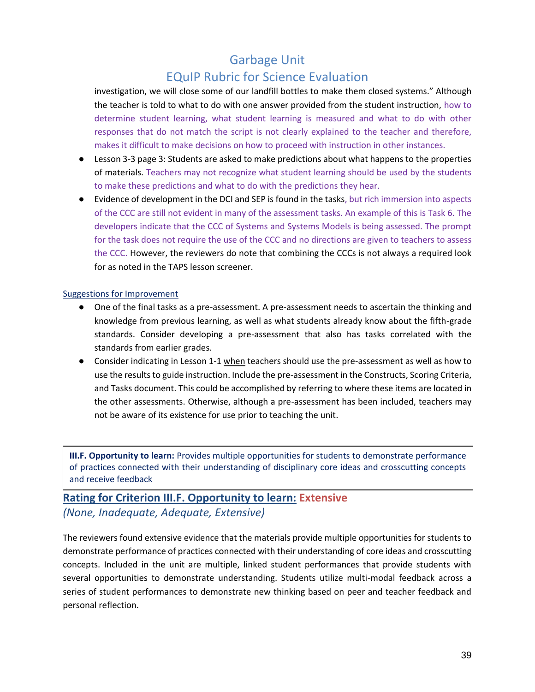# EQuIP Rubric for Science Evaluation

investigation, we will close some of our landfill bottles to make them closed systems." Although the teacher is told to what to do with one answer provided from the student instruction, how to determine student learning, what student learning is measured and what to do with other responses that do not match the script is not clearly explained to the teacher and therefore, makes it difficult to make decisions on how to proceed with instruction in other instances.

- Lesson 3-3 page 3: Students are asked to make predictions about what happens to the properties of materials. Teachers may not recognize what student learning should be used by the students to make these predictions and what to do with the predictions they hear.
- Evidence of development in the DCI and SEP is found in the tasks, but rich immersion into aspects of the CCC are still not evident in many of the assessment tasks. An example of this is Task 6. The developers indicate that the CCC of Systems and Systems Models is being assessed. The prompt for the task does not require the use of the CCC and no directions are given to teachers to assess the CCC. However, the reviewers do note that combining the CCCs is not always a required look for as noted in the TAPS lesson screener.

#### Suggestions for Improvement

- One of the final tasks as a pre-assessment. A pre-assessment needs to ascertain the thinking and knowledge from previous learning, as well as what students already know about the fifth-grade standards. Consider developing a pre-assessment that also has tasks correlated with the standards from earlier grades.
- Consider indicating in Lesson 1-1 when teachers should use the pre-assessment as well as how to use the results to guide instruction. Include the pre-assessment in the Constructs, Scoring Criteria, and Tasks document. This could be accomplished by referring to where these items are located in the other assessments. Otherwise, although a pre-assessment has been included, teachers may not be aware of its existence for use prior to teaching the unit.

**III.F. Opportunity to learn:** Provides multiple opportunities for students to demonstrate performance of practices connected with their understanding of disciplinary core ideas and crosscutting concepts and receive feedback

### **Rating for Criterion III.F. Opportunity to learn: Extensive** *(None, Inadequate, Adequate, Extensive)*

The reviewers found extensive evidence that the materials provide multiple opportunities for students to demonstrate performance of practices connected with their understanding of core ideas and crosscutting concepts. Included in the unit are multiple, linked student performances that provide students with several opportunities to demonstrate understanding. Students utilize multi-modal feedback across a series of student performances to demonstrate new thinking based on peer and teacher feedback and personal reflection.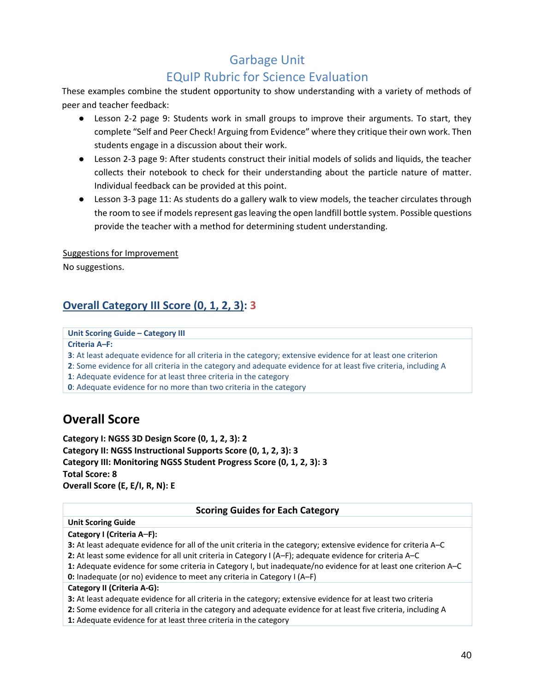# EQuIP Rubric for Science Evaluation

These examples combine the student opportunity to show understanding with a variety of methods of peer and teacher feedback:

- Lesson 2-2 page 9: Students work in small groups to improve their arguments. To start, they complete "Self and Peer Check! Arguing from Evidence" where they critique their own work. Then students engage in a discussion about their work.
- Lesson 2-3 page 9: After students construct their initial models of solids and liquids, the teacher collects their notebook to check for their understanding about the particle nature of matter. Individual feedback can be provided at this point.
- Lesson 3-3 page 11: As students do a gallery walk to view models, the teacher circulates through the room to see if models represent gas leaving the open landfill bottle system. Possible questions provide the teacher with a method for determining student understanding.

Suggestions for Improvement

No suggestions.

## **Overall Category III Score (0, 1, 2, 3): 3**

**Unit Scoring Guide – Category III**

**Criteria A***–***F:**

**3**: At least adequate evidence for all criteria in the category; extensive evidence for at least one criterion

**2**: Some evidence for all criteria in the category and adequate evidence for at least five criteria, including A

**1**: Adequate evidence for at least three criteria in the category

<span id="page-39-0"></span>**0**: Adequate evidence for no more than two criteria in the category

# **Overall Score**

**Category I: NGSS 3D Design Score (0, 1, 2, 3): 2 Category II: NGSS Instructional Supports Score (0, 1, 2, 3): 3 Category III: Monitoring NGSS Student Progress Score (0, 1, 2, 3): 3 Total Score: 8 Overall Score (E, E/I, R, N): E**

#### **Scoring Guides for Each Category**

#### **Unit Scoring Guide**

**Category I (Criteria A***–***F):**

**3:** At least adequate evidence for all of the unit criteria in the category; extensive evidence for criteria A–C

**2:** At least some evidence for all unit criteria in Category I (A–F); adequate evidence for criteria A–C

**1:** Adequate evidence for some criteria in Category I, but inadequate/no evidence for at least one criterion A–C **0:** Inadequate (or no) evidence to meet any criteria in Category I (A–F)

#### **Category II (Criteria A‐G):**

**3:** At least adequate evidence for all criteria in the category; extensive evidence for at least two criteria

**2:** Some evidence for all criteria in the category and adequate evidence for at least five criteria, including A

**1:** Adequate evidence for at least three criteria in the category